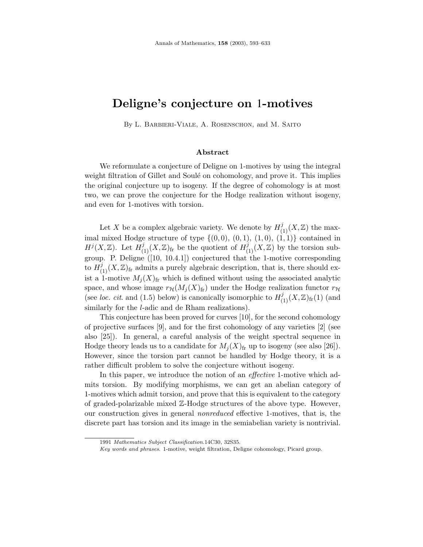# **Deligne's conjecture on** 1**-motives**

By L. Barbieri-Viale, A. Rosenschon, and M. Saito

## **Abstract**

We reformulate a conjecture of Deligne on 1-motives by using the integral weight filtration of Gillet and Soulé on cohomology, and prove it. This implies the original conjecture up to isogeny. If the degree of cohomology is at most two, we can prove the conjecture for the Hodge realization without isogeny, and even for 1-motives with torsion.

Let X be a complex algebraic variety. We denote by  $H^j_{(1)}(X,\mathbb{Z})$  the maximal mixed Hodge structure of type  $\{(0,0), (0,1), (1,0), (1,1)\}\)$  contained in  $H^{j}(X,\mathbb{Z})$ . Let  $H^{j}_{(1)}(X,\mathbb{Z})_{\text{fr}}$  be the quotient of  $H^{j}_{(1)}(X,\mathbb{Z})$  by the torsion subgroup. P. Deligne ([10, 10.4.1]) conjectured that the 1-motive corresponding to  $H^j_{(1)}(X,\mathbb{Z})$ <sub>fr</sub> admits a purely algebraic description, that is, there should exist a 1-motive  $M_i(X)_{\text{fr}}$  which is defined without using the associated analytic space, and whose image  $r_{\mathcal{H}}(M_j(X)_{\text{fr}})$  under the Hodge realization functor  $r_{\mathcal{H}}$ (see loc. cit. and (1.5) below) is canonically isomorphic to  $H^j_{(1)}(X,\mathbb{Z})_{{\rm fr}}(1)$  (and similarly for the l-adic and de Rham realizations).

This conjecture has been proved for curves [10], for the second cohomology of projective surfaces [9], and for the first cohomology of any varieties [2] (see also [25]). In general, a careful analysis of the weight spectral sequence in Hodge theory leads us to a candidate for  $M_i(X)_{\text{fr}}$  up to isogeny (see also [26]). However, since the torsion part cannot be handled by Hodge theory, it is a rather difficult problem to solve the conjecture without isogeny.

In this paper, we introduce the notion of an *effective* 1-motive which admits torsion. By modifying morphisms, we can get an abelian category of 1-motives which admit torsion, and prove that this is equivalent to the category of graded-polarizable mixed Z-Hodge structures of the above type. However, our construction gives in general nonreduced effective 1-motives, that is, the discrete part has torsion and its image in the semiabelian variety is nontrivial.

<sup>1991</sup> Mathematics Subject Classification.14C30, 32S35.

Key words and phrases. 1-motive, weight filtration, Deligne cohomology, Picard group.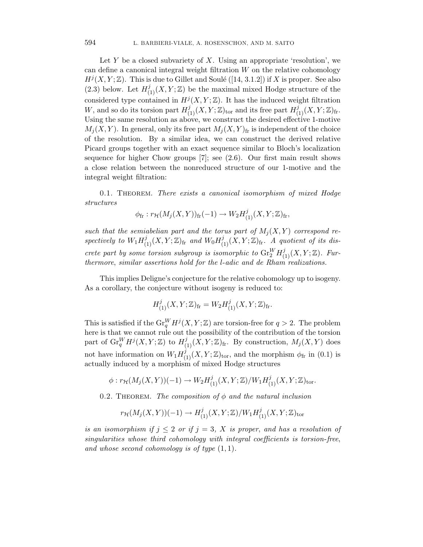Let Y be a closed subvariety of X. Using an appropriate 'resolution', we can define a canonical integral weight filtration W on the relative cohomology  $H<sup>j</sup>(X, Y; \mathbb{Z})$ . This is due to Gillet and Soulé ([14, 3.1.2]) if X is proper. See also (2.3) below. Let  $H^j_{(1)}(X, Y; \mathbb{Z})$  be the maximal mixed Hodge structure of the considered type contained in  $H^{j}(X, Y; \mathbb{Z})$ . It has the induced weight filtration W, and so do its torsion part  $H^j_{(1)}(X, Y; \mathbb{Z})_{\text{tor}}$  and its free part  $H^j_{(1)}(X, Y; \mathbb{Z})_{\text{fr}}$ . Using the same resolution as above, we construct the desired effective 1-motive  $M_i(X, Y)$ . In general, only its free part  $M_i(X, Y)$ <sub>fr</sub> is independent of the choice of the resolution. By a similar idea, we can construct the derived relative Picard groups together with an exact sequence similar to Bloch's localization sequence for higher Chow groups [7]; see (2.6). Our first main result shows a close relation between the nonreduced structure of our 1-motive and the integral weight filtration:

0.1. Theorem. There exists a canonical isomorphism of mixed Hodge structures

$$
\phi_{\text{fr}}: r_{\mathcal{H}}(M_j(X,Y))_{\text{fr}}(-1) \to W_2H^j_{(1)}(X,Y;\mathbb{Z})_{\text{fr}},
$$

such that the semiabelian part and the torus part of  $M_i(X, Y)$  correspond respectively to  $W_1 H_{(1)}^j(X, Y; \mathbb{Z})_{\text{fr}}$  and  $W_0 H_{(1)}^j(X, Y; \mathbb{Z})_{\text{fr}}$ . A quotient of its discrete part by some torsion subgroup is isomorphic to  $\mathrm{Gr}^W_2 H^j_{(1)}(X, Y; \mathbb{Z})$ . Furthermore, similar assertions hold for the  $l$ -adic and de Rham realizations.

This implies Deligne's conjecture for the relative cohomology up to isogeny. As a corollary, the conjecture without isogeny is reduced to:

$$
H^j_{(1)}(X,Y;\mathbb{Z})_{\rm fr} = W_2 H^j_{(1)}(X,Y;\mathbb{Z})_{\rm fr}.
$$

This is satisfied if the  $\mathrm{Gr}_q^WH^j(X, Y; \mathbb{Z})$  are torsion-free for  $q > 2$ . The problem here is that we cannot rule out the possibility of the contribution of the torsion part of  $\mathrm{Gr}_{q}^{W}H^{j}(X, Y; \mathbb{Z})$  to  $H_{(1)}^{j}(X, Y; \mathbb{Z})_{\mathrm{fr}}$ . By construction,  $M_{j}(X, Y)$  does not have information on  $W_1 H_{(1)}^j(X, Y; \mathbb{Z})_{\text{tor}}$ , and the morphism  $\phi_{\text{fr}}$  in (0.1) is actually induced by a morphism of mixed Hodge structures

$$
\phi:r_{\mathcal{H}}(M_j(X,Y))(-1)\rightarrow W_2H^j_{(1)}(X,Y;\mathbb{Z})/W_1H^j_{(1)}(X,Y;\mathbb{Z})_{\mathrm{tor}}.
$$

0.2. THEOREM. The composition of  $\phi$  and the natural inclusion

$$
r_{\mathcal{H}}(M_j(X,Y))(-1) \to H^j_{(1)}(X,Y;\mathbb{Z})/W_1H^j_{(1)}(X,Y;\mathbb{Z})_{\rm tor}
$$

is an isomorphism if  $j \leq 2$  or if  $j = 3$ , X is proper, and has a resolution of singularities whose third cohomology with integral coefficients is torsion-free, and whose second cohomology is of type  $(1, 1)$ .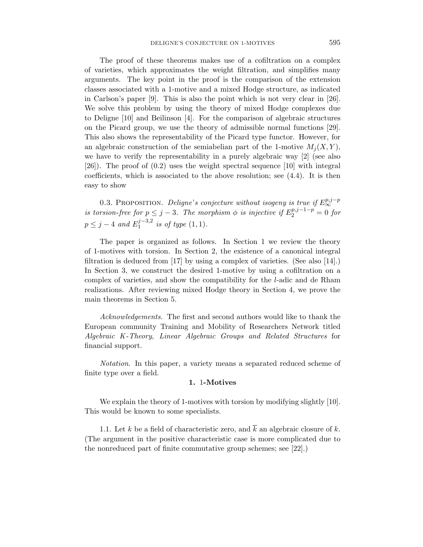The proof of these theorems makes use of a cofiltration on a complex of varieties, which approximates the weight filtration, and simplifies many arguments. The key point in the proof is the comparison of the extension classes associated with a 1-motive and a mixed Hodge structure, as indicated in Carlson's paper [9]. This is also the point which is not very clear in [26]. We solve this problem by using the theory of mixed Hodge complexes due to Deligne [10] and Beilinson [4]. For the comparison of algebraic structures on the Picard group, we use the theory of admissible normal functions [29]. This also shows the representability of the Picard type functor. However, for an algebraic construction of the semiabelian part of the 1-motive  $M_i(X, Y)$ , we have to verify the representability in a purely algebraic way [2] (see also [26]). The proof of (0.2) uses the weight spectral sequence [10] with integral coefficients, which is associated to the above resolution; see (4.4). It is then easy to show

0.3. PROPOSITION. Deligne's conjecture without isogeny is true if  $E_{\infty}^{p,j-p}$ is torsion-free for  $p \leq j - 3$ . The morphism  $\phi$  is injective if  $E_2^{p,j-1-p} = 0$  for  $p \leq j-4$  and  $E_1^{j-3,2}$  is of type  $(1,1)$ .

The paper is organized as follows. In Section 1 we review the theory of 1-motives with torsion. In Section 2, the existence of a canonical integral filtration is deduced from [17] by using a complex of varieties. (See also [14].) In Section 3, we construct the desired 1-motive by using a cofiltration on a complex of varieties, and show the compatibility for the l-adic and de Rham realizations. After reviewing mixed Hodge theory in Section 4, we prove the main theorems in Section 5.

Acknowledgements. The first and second authors would like to thank the European community Training and Mobility of Researchers Network titled Algebraic K-Theory, Linear Algebraic Groups and Related Structures for financial support.

Notation. In this paper, a variety means a separated reduced scheme of finite type over a field.

#### **1.** 1**-Motives**

We explain the theory of 1-motives with torsion by modifying slightly [10]. This would be known to some specialists.

1.1. Let k be a field of characteristic zero, and  $\overline{k}$  an algebraic closure of k. (The argument in the positive characteristic case is more complicated due to the nonreduced part of finite commutative group schemes; see [22].)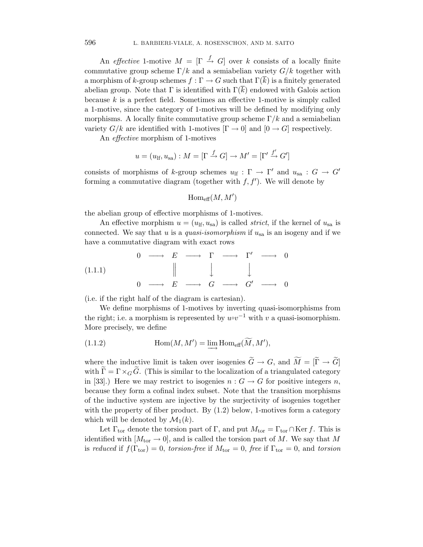An effective 1-motive  $M = \begin{bmatrix} \Gamma & \stackrel{f}{\rightarrow} & G \end{bmatrix}$  over k consists of a locally finite commutative group scheme  $\Gamma/k$  and a semiabelian variety  $G/k$  together with a morphism of k-group schemes  $f : \Gamma \to G$  such that  $\Gamma(\overline{k})$  is a finitely generated abelian group. Note that  $\Gamma$  is identified with  $\Gamma(k)$  endowed with Galois action because  $k$  is a perfect field. Sometimes an effective 1-motive is simply called a 1-motive, since the category of 1-motives will be defined by modifying only morphisms. A locally finite commutative group scheme  $\Gamma/k$  and a semiabelian variety  $G/k$  are identified with 1-motives  $[\Gamma \to 0]$  and  $[0 \to G]$  respectively.

An effective morphism of 1-motives

$$
u = (u_{\text{lf}}, u_{\text{sa}}) : M = [\Gamma \xrightarrow{f} G] \to M' = [\Gamma' \xrightarrow{f'} G']
$$

consists of morphisms of k-group schemes  $u_{\text{lf}} : \Gamma \to \Gamma'$  and  $u_{\text{sa}} : G \to G'$ forming a commutative diagram (together with  $f, f'$ ). We will denote by

$$
\operatorname{Hom}_{\mathrm{eff}}(M,M')
$$

the abelian group of effective morphisms of 1-motives.

An effective morphism  $u = (u_{\text{lf}}, u_{\text{sa}})$  is called *strict*, if the kernel of  $u_{\text{sa}}$  is connected. We say that u is a quasi-isomorphism if  $u_{sa}$  is an isogeny and if we have a commutative diagram with exact rows

(1.1.1) 0 −−→ E −−→ Γ −−→ Γ- −−→ 0 0 −−→ E −−→ G −−→ G-−−→ 0

(i.e. if the right half of the diagram is cartesian).

We define morphisms of 1-motives by inverting quasi-isomorphisms from the right; i.e. a morphism is represented by  $u \circ v^{-1}$  with v a quasi-isomorphism. More precisely, we define

(1.1.2) 
$$
\operatorname{Hom}(M, M') = \varinjlim \operatorname{Hom}_{\text{eff}}(\overline{M}, M'),
$$

where the inductive limit is taken over isogenies  $G \to G$ , and  $M = [\Gamma \to G]$ with  $\Gamma = \Gamma \times_G \tilde{G}$ . (This is similar to the localization of a triangulated category in [33].) Here we may restrict to isogenies  $n : G \to G$  for positive integers n, because they form a cofinal index subset. Note that the transition morphisms of the inductive system are injective by the surjectivity of isogenies together with the property of fiber product. By  $(1.2)$  below, 1-motives form a category which will be denoted by  $\mathcal{M}_1(k)$ .

Let  $\Gamma_{\text{tor}}$  denote the torsion part of  $\Gamma$ , and put  $M_{\text{tor}} = \Gamma_{\text{tor}} \cap \text{Ker } f$ . This is identified with  $[M_{\text{tor}} \rightarrow 0]$ , and is called the torsion part of M. We say that M is reduced if  $f(\Gamma_{\text{tor}}) = 0$ , torsion-free if  $M_{\text{tor}} = 0$ , free if  $\Gamma_{\text{tor}} = 0$ , and torsion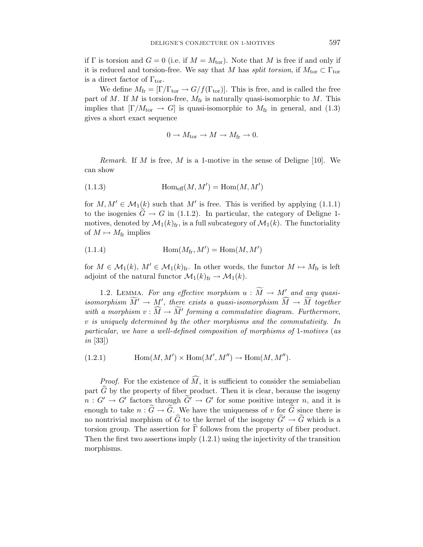if  $\Gamma$  is torsion and  $G = 0$  (i.e. if  $M = M_{\text{tor}}$ ). Note that M is free if and only if it is reduced and torsion-free. We say that M has split torsion, if  $M_{\text{tor}} \subset \Gamma_{\text{tor}}$ is a direct factor of  $\Gamma_{\text{tor}}$ .

We define  $M_{\text{fr}} = [\Gamma/\Gamma_{\text{tor}} \rightarrow G/f(\Gamma_{\text{tor}})]$ . This is free, and is called the free part of M. If M is torsion-free,  $M_{\text{fr}}$  is naturally quasi-isomorphic to M. This implies that  $[\Gamma/M_{\text{tor}} \to G]$  is quasi-isomorphic to  $M_{\text{fr}}$  in general, and (1.3) gives a short exact sequence

$$
0 \to M_{\text{tor}} \to M \to M_{\text{fr}} \to 0.
$$

*Remark.* If M is free, M is a 1-motive in the sense of Deligne [10]. We can show

(1.1.3) 
$$
\operatorname{Hom}_{\text{eff}}(M, M') = \operatorname{Hom}(M, M')
$$

for  $M, M' \in \mathcal{M}_1(k)$  such that  $M'$  is free. This is verified by applying  $(1.1.1)$ to the isogenies  $G \to G$  in (1.1.2). In particular, the category of Deligne 1motives, denoted by  $\mathcal{M}_1(k)_{\text{fr}}$ , is a full subcategory of  $\mathcal{M}_1(k)$ . The functoriality of  $M \mapsto M_{\text{fr}}$  implies

(1.1.4) Hom(Mfr, M-) = Hom(M,M-)

for  $M \in \mathcal{M}_1(k)$ ,  $M' \in \mathcal{M}_1(k)$ <sub>fr</sub>. In other words, the functor  $M \mapsto M$ <sub>fr</sub> is left adjoint of the natural functor  $\mathcal{M}_1(k)_{\text{fr}} \to \mathcal{M}_1(k)$ .

1.2. LEMMA. For any effective morphism  $u : \widetilde{M} \to M'$  and any quasiisomorphism  $M' \to M'$ , there exists a quasi-isomorphism  $M \to M$  together with a morphism  $v : M \to M'$  forming a commutative diagram. Furthermore, v is uniquely determined by the other morphisms and the commutativity. In particular, we have a well-defined composition of morphisms of 1-motives (as in [33])

(1.2.1) Hom(M,M-) × Hom(M-, M--) → Hom(M,M--).

*Proof.* For the existence of  $M$ , it is sufficient to consider the semiabelian part  $\widehat{G}$  by the property of fiber product. Then it is clear, because the isogeny  $n: G' \to G'$  factors through  $G' \to G'$  for some positive integer n, and it is enough to take  $n : \widetilde{G} \to \widetilde{G}$ . We have the uniqueness of v for  $\widetilde{G}$  since there is no nontrivial morphism of G to the kernel of the isogeny  $G' \to G$  which is a torsion group. The assertion for  $\widehat{\Gamma}$  follows from the property of fiber product. Then the first two assertions imply  $(1.2.1)$  using the injectivity of the transition morphisms.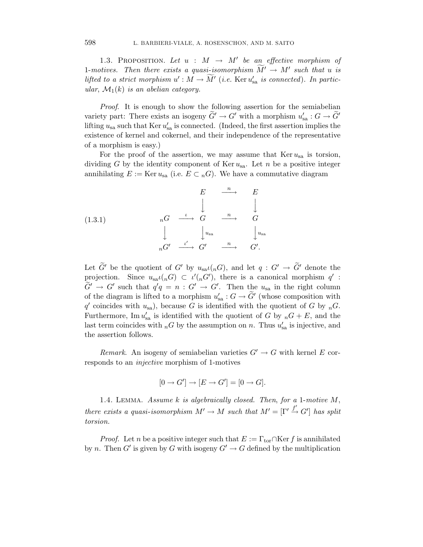1.3. PROPOSITION. Let  $u : M \rightarrow M'$  be an effective morphism of 1-motives. Then there exists a quasi-isomorphism  $M' \to M'$  such that u is lifted to a strict morphism  $u': M \to M'$  (i.e. Ker  $u'_{sa}$  is connected). In particular,  $\mathcal{M}_1(k)$  is an abelian category.

Proof. It is enough to show the following assertion for the semiabelian variety part: There exists an isogeny  $G' \to G'$  with a morphism  $u'_{sa} : G \to G'$ lifting  $u_{sa}$  such that Ker  $u'_{sa}$  is connected. (Indeed, the first assertion implies the existence of kernel and cokernel, and their independence of the representative of a morphism is easy.)

For the proof of the assertion, we may assume that  $\text{Ker }u_{sa}$  is torsion, dividing G by the identity component of Ker  $u_{sa}$ . Let n be a positive integer annihilating  $E := \text{Ker } u_{sa}$  (i.e.  $E \subset {}_{n}G$ ). We have a commutative diagram

(1.3.1)  
\n
$$
{}_{n}G \xrightarrow{\iota} {}_{n}G \xrightarrow{\iota} {}_{n}G \xrightarrow{n} {}_{n}G
$$
\n
$$
\downarrow \qquad \qquad \downarrow u_{sa} \qquad \qquad \downarrow u_{sa}
$$
\n
$$
{}_{n}G' \xrightarrow{\iota'} G' \xrightarrow{n} G'.
$$

Let G' be the quotient of G' by  $u_{sa}\iota(nG)$ , and let  $q: G' \to G'$  denote the projection. Since  $u_{sa}(l_n G) \subset \iota'(l_n G')$ , there is a canonical morphism  $q'$ :  $G' \to G'$  such that  $q'q = n : G' \to G'$ . Then the  $u_{sa}$  in the right column of the diagram is lifted to a morphism  $u'_{sa}$  :  $G \to G'$  (whose composition with q' coincides with  $u_{sa}$ , because G is identified with the quotient of G by  $_nG$ . Furthermore, Im  $u'_{sa}$  is identified with the quotient of G by  $_nG + E$ , and the last term coincides with  $_n$ G by the assumption on n. Thus  $u'_{sa}$  is injective, and the assertion follows.

Remark. An isogeny of semiabelian varieties  $G' \to G$  with kernel E corresponds to an injective morphism of 1-motives

$$
[0 \to G'] \to [E \to G'] = [0 \to G].
$$

1.4. LEMMA. Assume  $k$  is algebraically closed. Then, for a 1-motive  $M$ , there exists a quasi-isomorphism  $M' \to M$  such that  $M' = [\Gamma' \stackrel{f'}{\to} G']$  has split torsion.

*Proof.* Let n be a positive integer such that  $E := \Gamma_{\text{tor}} \cap \text{Ker } f$  is annihilated by n. Then G' is given by G with isogeny  $G' \to G$  defined by the multiplication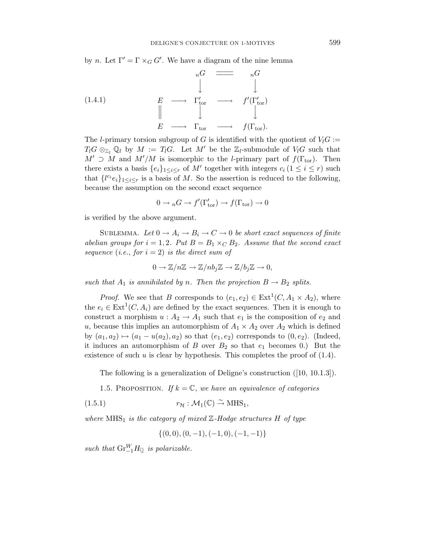by *n*. Let  $\Gamma' = \Gamma \times_G G'$ . We have a diagram of the nine lemma

(1.4.1) 
$$
E \longrightarrow \Gamma_{\text{tor}}' \longrightarrow f'(\Gamma_{\text{tor}}')
$$

$$
E \longrightarrow \Gamma_{\text{tor}}' \longrightarrow f'(\Gamma_{\text{tor}}')
$$

$$
E \longrightarrow \Gamma_{\text{tor}} \longrightarrow f(\Gamma_{\text{tor}}).
$$

The l-primary torsion subgroup of G is identified with the quotient of  $V_1G$  :=  $T_lG \otimes_{\mathbb{Z}_l} \mathbb{Q}_l$  by  $M := T_lG$ . Let  $M'$  be the  $\mathbb{Z}_l$ -submodule of  $V_lG$  such that  $M' \supset M$  and  $M'/M$  is isomorphic to the *l*-primary part of  $f(\Gamma_{\text{tor}})$ . Then there exists a basis  $\{e_i\}_{1 \leq i \leq r}$  of M' together with integers  $c_i$   $(1 \leq i \leq r)$  such that  $\{l^{c_i}e_i\}_{1\leq i\leq r}$  is a basis of M. So the assertion is reduced to the following, because the assumption on the second exact sequence

$$
0 \to {}_nG \to f'(\Gamma_{\text{tor}}') \to f(\Gamma_{\text{tor}}) \to 0
$$

is verified by the above argument.

SUBLEMMA. Let  $0 \to A_i \to B_i \to C \to 0$  be short exact sequences of finite abelian groups for  $i = 1, 2$ . Put  $B = B_1 \times_C B_2$ . Assume that the second exact sequence (i.e., for  $i = 2$ ) is the direct sum of

$$
0 \to \mathbb{Z}/n\mathbb{Z} \to \mathbb{Z}/nb_j\mathbb{Z} \to \mathbb{Z}/b_j\mathbb{Z} \to 0,
$$

such that  $A_1$  is annihilated by n. Then the projection  $B \to B_2$  splits.

*Proof.* We see that B corresponds to  $(e_1, e_2) \in \text{Ext}^1(C, A_1 \times A_2)$ , where the  $e_i \in \text{Ext}^1(C, A_i)$  are defined by the exact sequences. Then it is enough to construct a morphism  $u : A_2 \to A_1$  such that  $e_1$  is the composition of  $e_2$  and u, because this implies an automorphism of  $A_1 \times A_2$  over  $A_2$  which is defined by  $(a_1, a_2) \mapsto (a_1 - u(a_2), a_2)$  so that  $(e_1, e_2)$  corresponds to  $(0, e_2)$ . (Indeed, it induces an automorphism of B over  $B_2$  so that  $e_1$  becomes 0.) But the existence of such u is clear by hypothesis. This completes the proof of  $(1.4)$ .

The following is a generalization of Deligne's construction ([10, 10.1.3]).

1.5. PROPOSITION. If  $k = \mathbb{C}$ , we have an equivalence of categories

(1.5.1) 
$$
r_{\mathcal{H}} : \mathcal{M}_1(\mathbb{C}) \stackrel{\sim}{\to} \text{MHS}_1,
$$

where  $MHS_1$  is the category of mixed  $\mathbb{Z}-Hodge$  structures H of type

$$
\{(0,0), (0,-1), (-1,0), (-1,-1)\}
$$

such that  $\text{Gr}_{-1}^WH_{\mathbb{Q}}$  is polarizable.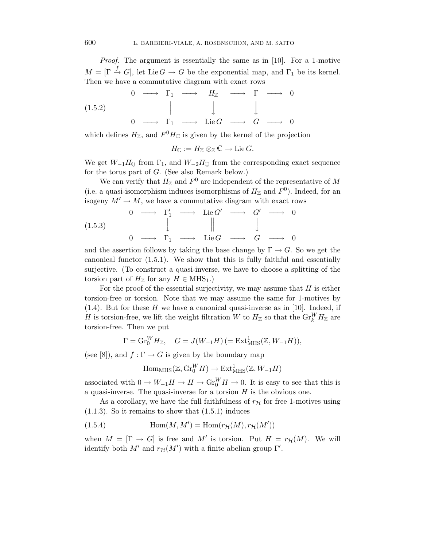Proof. The argument is essentially the same as in [10]. For a 1-motive  $M = [\Gamma \stackrel{f}{\to} G],$  let Lie  $G \to G$  be the exponential map, and  $\Gamma_1$  be its kernel. Then we have a commutative diagram with exact rows

$$
\begin{array}{ccccccc}\n & & & & 0 & \longrightarrow & \Gamma_1 & \longrightarrow & H_{\mathbb{Z}} & \longrightarrow & \Gamma & \longrightarrow & 0 \\
 & & & & & \parallel & & \downarrow & & \downarrow & & \downarrow \\
 & & & & & \parallel & & \downarrow & & \downarrow & & \downarrow \\
 & & & & & & \Gamma_1 & \longrightarrow & \text{Lie } G & \longrightarrow & G & \longrightarrow & 0\n\end{array}
$$

which defines  $H_{\mathbb{Z}}$ , and  $F^0H_{\mathbb{C}}$  is given by the kernel of the projection

 $H_{\mathbb{C}} := H_{\mathbb{Z}} \otimes_{\mathbb{Z}} \mathbb{C} \to \text{Lie } G.$ 

We get  $W_{-1}H_{\mathbb{Q}}$  from  $\Gamma_1$ , and  $W_{-2}H_{\mathbb{Q}}$  from the corresponding exact sequence for the torus part of  $G$ . (See also Remark below.)

We can verify that  $H_{\mathbb{Z}}$  and  $F^0$  are independent of the representative of M (i.e. a quasi-isomorphism induces isomorphisms of  $H_{\mathbb{Z}}$  and  $F^0$ ). Indeed, for an isogeny  $M' \to M$ , we have a commutative diagram with exact rows

$$
(1.5.3) \quad 0 \longrightarrow \Gamma_1' \longrightarrow \text{Lie } G' \longrightarrow G' \longrightarrow 0
$$

$$
\downarrow \qquad \qquad \parallel \qquad \qquad \downarrow \qquad \qquad 0
$$

$$
0 \longrightarrow \Gamma_1 \longrightarrow \text{Lie } G \longrightarrow G \longrightarrow 0
$$

and the assertion follows by taking the base change by  $\Gamma \to G$ . So we get the canonical functor (1.5.1). We show that this is fully faithful and essentially surjective. (To construct a quasi-inverse, we have to choose a splitting of the torsion part of  $H_{\mathbb{Z}}$  for any  $H \in \text{MHS}_1$ .)

For the proof of the essential surjectivity, we may assume that  $H$  is either torsion-free or torsion. Note that we may assume the same for 1-motives by  $(1.4)$ . But for these H we have a canonical quasi-inverse as in [10]. Indeed, if H is torsion-free, we lift the weight filtration W to  $H_{\mathbb{Z}}$  so that the  $\text{Gr}_{k}^{W}H_{\mathbb{Z}}$  are torsion-free. Then we put

$$
\Gamma = \mathrm{Gr}_{0}^{W} H_{\mathbb{Z}}, \quad G = J(W_{-1}H) \left(= \mathrm{Ext}^{1}_{\mathrm{MHS}}(\mathbb{Z}, W_{-1}H) \right),
$$

(see [8]), and  $f : \Gamma \to G$  is given by the boundary map

$$
\mathrm{Hom}_{\mathrm{MHS}}(\mathbb{Z},\mathrm{Gr}_{0}^{W}H)\to\mathrm{Ext}^{1}_{\mathrm{MHS}}(\mathbb{Z},W_{-1}H)
$$

associated with  $0 \to W_{-1}H \to H \to Gr_0^W H \to 0$ . It is easy to see that this is a quasi-inverse. The quasi-inverse for a torsion  $H$  is the obvious one.

As a corollary, we have the full faithfulness of  $r<sub>H</sub>$  for free 1-motives using  $(1.1.3)$ . So it remains to show that  $(1.5.1)$  induces

(1.5.4) 
$$
\operatorname{Hom}(M, M') = \operatorname{Hom}(r_{\mathcal{H}}(M), r_{\mathcal{H}}(M'))
$$

when  $M = [\Gamma \to G]$  is free and M' is torsion. Put  $H = r_H(M)$ . We will identify both  $M'$  and  $r_H(M')$  with a finite abelian group  $\Gamma'$ .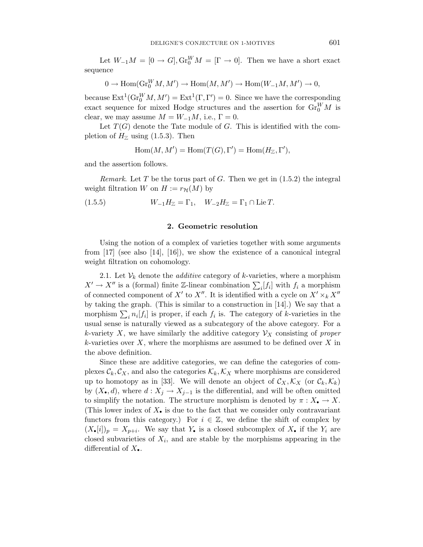Let  $W_{-1}M = [0 \to G], \text{Gr}_{0}^{W}M = [\Gamma \to 0].$  Then we have a short exact sequence

$$
0 \to \operatorname{Hom}(\operatorname{Gr}^W_0M,M') \to \operatorname{Hom}(M,M') \to \operatorname{Hom}(W_{-1}M,M') \to 0,
$$

because  $\text{Ext}^1(\text{Gr}_0^W M, M') = \text{Ext}^1(\Gamma, \Gamma') = 0$ . Since we have the corresponding exact sequence for mixed Hodge structures and the assertion for  $\text{Gr}_{0}^{W}M$  is clear, we may assume  $M = W_{-1}M$ , i.e.,  $\Gamma = 0$ .

Let  $T(G)$  denote the Tate module of G. This is identified with the completion of  $H_{\mathbb{Z}}$  using (1.5.3). Then

$$
Hom(M, M') = Hom(T(G), \Gamma') = Hom(H_{\mathbb{Z}}, \Gamma'),
$$

and the assertion follows.

Remark. Let T be the torus part of G. Then we get in  $(1.5.2)$  the integral weight filtration W on  $H := r_{\mathcal{H}}(M)$  by

(1.5.5) 
$$
W_{-1}H_{\mathbb{Z}} = \Gamma_1, \quad W_{-2}H_{\mathbb{Z}} = \Gamma_1 \cap \text{Lie } T.
$$

#### **2. Geometric resolution**

Using the notion of a complex of varieties together with some arguments from  $\left[17\right]$  (see also  $\left[14\right]$ ,  $\left[16\right]$ ), we show the existence of a canonical integral weight filtration on cohomology.

2.1. Let  $\mathcal{V}_k$  denote the *additive* category of *k*-varieties, where a morphism  $X' \to X''$  is a (formal) finite Z-linear combination  $\sum_i [f_i]$  with  $f_i$  a morphism of connected component of X' to X''. It is identified with a cycle on  $X' \times_k X''$ by taking the graph. (This is similar to a construction in [14].) We say that a morphism  $\sum_i n_i[f_i]$  is proper, if each  $f_i$  is. The category of k-varieties in the usual sense is naturally viewed as a subcategory of the above category. For a k-variety X, we have similarly the additive category  $\mathcal{V}_X$  consisting of proper  $k$ -varieties over X, where the morphisms are assumed to be defined over X in the above definition.

Since these are additive categories, we can define the categories of complexes  $\mathcal{C}_k, \mathcal{C}_X$ , and also the categories  $\mathcal{K}_k, \mathcal{K}_X$  where morphisms are considered up to homotopy as in [33]. We will denote an object of  $\mathcal{C}_X, \mathcal{K}_X$  (or  $\mathcal{C}_k, \mathcal{K}_k$ ) by  $(X_{\bullet}, d)$ , where  $d: X_j \to X_{j-1}$  is the differential, and will be often omitted to simplify the notation. The structure morphism is denoted by  $\pi : X_{\bullet} \to X$ . (This lower index of  $X_{\bullet}$  is due to the fact that we consider only contravariant functors from this category.) For  $i \in \mathbb{Z}$ , we define the shift of complex by  $(X_{\bullet}[i])_p = X_{p+i}$ . We say that Y<sub>i</sub> is a closed subcomplex of X<sub>i</sub> if the Y<sub>i</sub> are closed subvarieties of  $X_i$ , and are stable by the morphisms appearing in the differential of  $X_{\bullet}$ .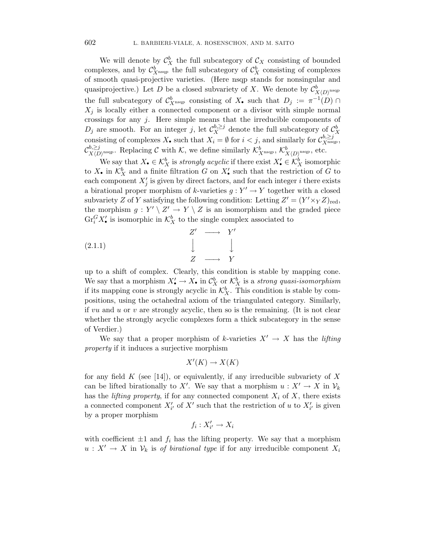We will denote by  $\mathcal{C}_X^b$  the full subcategory of  $\mathcal{C}_X$  consisting of bounded complexes, and by  $\mathcal{C}_{X}^{b}$  as the full subcategory of  $\mathcal{C}_{X}^{b}$  consisting of complexes of smooth quasi-projective varieties. (Here nsqp stands for nonsingular and quasiprojective.) Let D be a closed subvariety of X. We denote by  $\mathcal{C}_{X(D)^{nsqp}}^b$ the full subcategory of  $\mathcal{C}_{X^{\text{nsqp}}}^b$  consisting of  $X_{\bullet}$  such that  $D_j := \pi^{-1}(D) \cap$  $X_i$  is locally either a connected component or a divisor with simple normal crossings for any  $j$ . Here simple means that the irreducible components of  $D_j$  are smooth. For an integer j, let  $\mathcal{C}_X^{b, \geq j}$  denote the full subcategory of  $\mathcal{C}_X^b$ consisting of complexes  $X_{\bullet}$  such that  $X_i = \emptyset$  for  $i < j$ , and similarly for  $C_{X^{\text{nsqp}}}^{b, \geq j}$ ,  $\mathcal{C}_{X\langle D\rangle^{\mathrm{nsqp}}}^{b,\geq j}$ . Replacing C with K, we define similarly  $\mathcal{K}_{X^{\mathrm{nsqp}}}^b$ ,  $\mathcal{K}_{X\langle D\rangle^{\mathrm{nsqp}}}^b$ , etc.

We say that  $X_{\bullet} \in \mathcal{K}_X^b$  is *strongly acyclic* if there exist  $X'_{\bullet} \in \mathcal{K}_X^b$  isomorphic to  $X_{\bullet}$  in  $\mathcal{K}_X^b$  and a finite filtration G on  $X'_{\bullet}$  such that the restriction of G to each component  $X'_j$  is given by direct factors, and for each integer i there exists a birational proper morphism of k-varieties  $g: Y' \to Y$  together with a closed subvariety Z of Y satisfying the following condition: Letting  $Z' = (Y' \times_Y Z)_{\text{red}},$ the morphism  $g: Y' \setminus Z' \to Y \setminus Z$  is an isomorphism and the graded piece  $\text{Gr}_{i}^{G} X'$  is isomorphic in  $\mathcal{K}_{X}^{b}$  to the single complex associated to

$$
\begin{array}{ccc}\nZ' & \longrightarrow & Y' \\
\downarrow & & \downarrow \\
Z & \longrightarrow & Y \\
\end{array}
$$

up to a shift of complex. Clearly, this condition is stable by mapping cone. We say that a morphism  $X'_{\bullet} \to X_{\bullet}$  in  $\mathcal{C}_X^b$  or  $\mathcal{K}_X^b$  is a strong quasi-isomorphism if its mapping cone is strongly acyclic in  $\mathcal{K}_X^b$ . This condition is stable by compositions, using the octahedral axiom of the triangulated category. Similarly, if vu and u or v are strongly acyclic, then so is the remaining. (It is not clear whether the strongly acyclic complexes form a thick subcategory in the sense of Verdier.)

We say that a proper morphism of k-varieties  $X' \to X$  has the *lifting* property if it induces a surjective morphism

$$
X'(K) \to X(K)
$$

for any field  $K$  (see [14]), or equivalently, if any irreducible subvariety of  $X$ can be lifted birationally to X'. We say that a morphism  $u: X' \to X$  in  $\mathcal{V}_k$ has the *lifting property*, if for any connected component  $X_i$  of  $X$ , there exists a connected component  $X'_{i'}$  of  $X'$  such that the restriction of u to  $X'_{i'}$  is given by a proper morphism

$$
f_i:X'_{i'}\to X_i
$$

with coefficient  $\pm 1$  and  $f_i$  has the lifting property. We say that a morphism  $u: X' \to X$  in  $\mathcal{V}_k$  is of birational type if for any irreducible component  $X_i$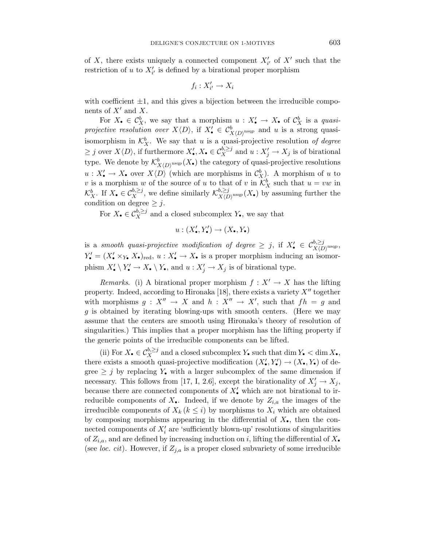of X, there exists uniquely a connected component  $X'_{i'}$  of  $X'$  such that the restriction of u to  $X'_{i'}$  is defined by a birational proper morphism

$$
f_i: X'_{i'} \to X_i
$$

with coefficient  $\pm 1$ , and this gives a bijection between the irreducible components of  $X'$  and X.

For  $X_{\bullet} \in \mathcal{C}_X^b$ , we say that a morphism  $u: X'_{\bullet} \to X_{\bullet}$  of  $\mathcal{C}_X^b$  is a *quasi*projective resolution over  $X\langle D \rangle$ , if  $X'_{\bullet} \in C^b_{X\langle D \rangle^{\text{nsqp}}}$  and u is a strong quasiisomorphism in  $\mathcal{K}_X^b$ . We say that u is a quasi-projective resolution of degree  $\geq j$  over  $X\langle D \rangle$ , if furthermore  $X'_{\bullet}, X_{\bullet} \in C_X^{b, \geq j}$  and  $u: X'_j \to X_j$  is of birational type. We denote by  $\mathcal{K}^b_{X(D)^{nsqp}}(X_{\bullet})$  the category of quasi-projective resolutions  $u: X'_{\bullet} \to X_{\bullet}$  over  $X\langle D \rangle$  (which are morphisms in  $\mathcal{C}_X^b$ ). A morphism of u to v is a morphism w of the source of u to that of v in  $\mathcal{K}_X^b$  such that  $u = vw$  in  $\mathcal{K}_X^b$ . If  $X_{\bullet} \in \mathcal{C}_X^{b, \geq j}$ , we define similarly  $\mathcal{K}_{X(D)}^{b, \geq j}(\mathcal{X}_{\bullet})$  by assuming further the condition on degree  $\geq j$ .

For  $X_{\bullet} \in \mathcal{C}_X^{b, \geq j}$  and a closed subcomplex  $Y_{\bullet}$ , we say that

$$
u:(X'_{\bullet},Y'_{\bullet})\to(X_{\bullet},Y_{\bullet})
$$

is a smooth quasi-projective modification of degree  $\geq j$ , if  $X'_{\bullet} \in C^{b, \geq j}_{X(D)^{nsqp}}$ ,  $Y'_{\bullet} = (X'_{\bullet} \times_{Y_{\bullet}} X_{\bullet})_{\text{red}}, u : X'_{\bullet} \to X_{\bullet}$  is a proper morphism inducing an isomorphism  $X'_{\bullet} \setminus Y'_{\bullet} \to X_{\bullet} \setminus Y_{\bullet}$ , and  $u : X'_{j} \to X_{j}$  is of birational type.

*Remarks.* (i) A birational proper morphism  $f: X' \to X$  has the lifting property. Indeed, according to Hironaka [18], there exists a variety  $X''$  together with morphisms  $g: X'' \to X$  and  $h: X'' \to X'$ , such that  $fh = g$  and g is obtained by iterating blowing-ups with smooth centers. (Here we may assume that the centers are smooth using Hironaka's theory of resolution of singularities.) This implies that a proper morphism has the lifting property if the generic points of the irreducible components can be lifted.

(ii) For  $X_{\bullet} \in C_X^{b, \geq j}$  and a closed subcomplex  $Y_{\bullet}$  such that dim  $Y_{\bullet} < \dim X_{\bullet}$ , there exists a smooth quasi-projective modification  $(X'_{\bullet}, Y'_{\bullet}) \to (X_{\bullet}, Y_{\bullet})$  of degree  $\geq j$  by replacing Y. with a larger subcomplex of the same dimension if necessary. This follows from [17, I, 2.6], except the birationality of  $X'_j \to X_j$ , because there are connected components of  $X'$ , which are not birational to irreducible components of  $X_{\bullet}$ . Indeed, if we denote by  $Z_{i,a}$  the images of the irreducible components of  $X_k$  ( $k \leq i$ ) by morphisms to  $X_i$  which are obtained by composing morphisms appearing in the differential of  $X_{\bullet}$ , then the connected components of  $X_i'$  are 'sufficiently blown-up' resolutions of singularities of  $Z_{i,a}$ , and are defined by increasing induction on i, lifting the differential of  $X_{\bullet}$ (see *loc. cit*). However, if  $Z_{j,a}$  is a proper closed subvariety of some irreducible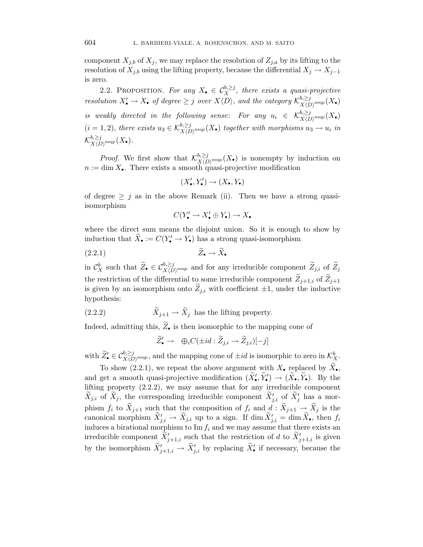component  $X_{i,b}$  of  $X_i$ , we may replace the resolution of  $Z_{i,a}$  by its lifting to the resolution of  $X_{j,b}$  using the lifting property, because the differential  $X_j \to X_{j-1}$ is zero.

2.2. PROPOSITION. For any  $X_{\bullet} \in C_X^{b,\geq j}$ , there exists a quasi-projective resolution  $X'_{\bullet} \to X_{\bullet}$  of degree  $\geq j$  over  $X\langle D \rangle$ , and the category  $\mathcal{K}^{b,\geq j}_{X\langle D \rangle^{\text{nsqp}}}(X_{\bullet})$ is weakly directed in the following sense: For any  $u_i \in \mathcal{K}_{X(D)}^{b,\geq j}(\mathbb{X}_{\bullet})$  $(i = 1, 2)$ , there exists  $u_3 \in \mathcal{K}_{X(D)}^{b, \geq j}$  and  $(X_{\bullet})$  together with morphisms  $u_3 \to u_i$  in  ${\mathcal K}_{X\langle D\rangle^{\rm nsqp}}^{b, \geq j}(X_\bullet).$ 

*Proof.* We first show that  $\mathcal{K}_{X(D)}^{b, \geq j}$  as nonempty by induction on  $n := \dim X_{\bullet}$ . There exists a smooth quasi-projective modification

$$
(X'_{\bullet}, Y'_{\bullet}) \to (X_{\bullet}, Y_{\bullet})
$$

of degree  $\geq j$  as in the above Remark (ii). Then we have a strong quasiisomorphism

$$
C(Y'_{\bullet} \to X'_{\bullet} \oplus Y_{\bullet}) \to X_{\bullet}
$$

where the direct sum means the disjoint union. So it is enough to show by induction that  $X_{\bullet} := C(Y'_{\bullet} \to Y_{\bullet})$  has a strong quasi-isomorphism

$$
(2.2.1) \t\t \widetilde{Z}_{\bullet} \to \widetilde{X}_{\bullet}
$$

in  $\mathcal{C}_X^b$  such that  $\widetilde{Z}_\bullet \in \mathcal{C}_{X(D)^{n \text{sq}_p}}^{b, \geq j}$  and for any irreducible component  $\widetilde{Z}_{j,i}$  of  $\widetilde{Z}_j$ the restriction of the differential to some irreducible component  $\widetilde{Z}_{j+1,i}$  of  $\widetilde{Z}_{j+1}$ is given by an isomorphism onto  $\widetilde{Z}_{j,i}$  with coefficient  $\pm 1$ , under the inductive hypothesis:

(2.2.2) 
$$
\qquad \qquad \tilde{X}_{j+1} \to \tilde{X}_j \text{ has the lifting property.}
$$

Indeed, admitting this,  $\widetilde{Z}_{\bullet}$  is then isomorphic to the mapping cone of

$$
\widetilde{Z}'_{\bullet} \to \oplus_i C(\pm id : \widetilde{Z}_{j,i} \to \widetilde{Z}_{j,i})[-j]
$$

with  $\widetilde{Z}'_{\bullet} \in C^{b, \geq j}_{X(D)^{\text{nsqp}}},$  and the mapping cone of  $\pm id$  is isomorphic to zero in  $\mathcal{K}^b_{\mathcal{X}}$ .

To show (2.2.1), we repeat the above argument with  $X_{\bullet}$  replaced by  $\tilde{X}_{\bullet}$ , and get a smooth quasi-projective modification  $(X'_{\bullet}, Y'_{\bullet}) \to (X_{\bullet}, Y_{\bullet})$ . By the lifting property (2.2.2), we may assume that for any irreducible component  $X_{j,i}$  of  $X_j$ , the corresponding irreducible component  $X'_{j,i}$  of  $X'_j$  has a morphism  $f_i$  to  $\widetilde{X}_{j+1}$  such that the composition of  $f_i$  and  $d : \widetilde{X}_{j+1} \to \widetilde{X}_j$  is the canonical morphism  $X'_{j,i} \to X_{j,i}$  up to a sign. If  $\dim X'_{j,i} = \dim X_{\bullet}$ , then  $f_i$ induces a birational morphism to  $\text{Im } f_i$  and we may assume that there exists an irreducible component  $X'_{j+1,i}$  such that the restriction of d to  $X'_{j+1,i}$  is given by the isomorphism  $X'_{j+1,i} \to X'_{j,i}$  by replacing  $X'_{\bullet}$  if necessary, because the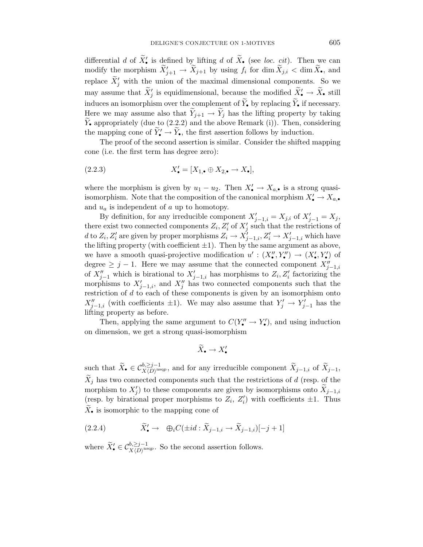differential d of  $X'_{\bullet}$  is defined by lifting d of  $X_{\bullet}$  (see loc. cit). Then we can modify the morphism  $X'_{j+1} \to X_{j+1}$  by using  $f_i$  for  $\dim X_{j,i} < \dim X_{\bullet}$ , and replace  $X'_{j}$  with the union of the maximal dimensional components. So we may assume that  $X'_j$  is equidimensional, because the modified  $X'_{\bullet} \to X_{\bullet}$  still induces an isomorphism over the complement of  $\widetilde{Y}_{\bullet}$  by replacing  $\widetilde{Y}_{\bullet}$  if necessary. Here we may assume also that  $\widetilde{Y}_{j+1} \to \widetilde{Y}_j$  has the lifting property by taking  $\hat{Y}_{\bullet}$  appropriately (due to (2.2.2) and the above Remark (i)). Then, considering the mapping cone of  $Y'_{\bullet} \to Y_{\bullet}$ , the first assertion follows by induction.

The proof of the second assertion is similar. Consider the shifted mapping cone (i.e. the first term has degree zero):

$$
(2.2.3) \t\t X'_\bullet = [X_{1,\bullet} \oplus X_{2,\bullet} \to X_\bullet],
$$

where the morphism is given by  $u_1 - u_2$ . Then  $X'_{\bullet} \to X_{a,\bullet}$  is a strong quasiisomorphism. Note that the composition of the canonical morphism  $X'_{\bullet} \to X_{a,\bullet}$ and  $u_a$  is independent of a up to homotopy.

By definition, for any irreducible component  $X'_{j-1,i} = X_{j,i}$  of  $X'_{j-1} = X_j$ , there exist two connected components  $Z_i, Z'_i$  of  $X'_j$  such that the restrictions of d to  $Z_i$ ,  $Z'_i$  are given by proper morphisms  $Z_i \to X'_{j-1,i}, Z'_i \to X'_{j-1,i}$  which have the lifting property (with coefficient  $\pm 1$ ). Then by the same argument as above, we have a smooth quasi-projective modification  $u': (X''_{\bullet}, Y''_{\bullet}) \to (X'_{\bullet}, Y'_{\bullet})$  of degree  $\geq j-1$ . Here we may assume that the connected component  $X''_{j-1,i}$ of  $X_{j-1}''$  which is birational to  $X_{j-1,i}'$  has morphisms to  $Z_i, Z_i'$  factorizing the morphisms to  $X'_{j-1,i}$ , and  $X''_j$  has two connected components such that the restriction of  $d$  to each of these components is given by an isomorphism onto  $X''_{j-1,i}$  (with coefficients  $\pm 1$ ). We may also assume that  $Y'_j \to Y'_{j-1}$  has the lifting property as before.

Then, applying the same argument to  $C(Y''_{\bullet} \to Y'_{\bullet})$ , and using induction on dimension, we get a strong quasi-isomorphism

$$
\widetilde{X}_{\bullet} \to X'_{\bullet}
$$

such that  $\widetilde{X}_{\bullet} \in C^{b, \geq j-1}_{X(D)^{\text{nsqp}}},$  and for any irreducible component  $\widetilde{X}_{j-1,i}$  of  $\widetilde{X}_{j-1},$  $\tilde{X}_i$  has two connected components such that the restrictions of d (resp. of the morphism to  $X'_j$ ) to these components are given by isomorphisms onto  $X_{j-1,i}$ (resp. by birational proper morphisms to  $Z_i$ ,  $Z'_i$ ) with coefficients  $\pm 1$ . Thus  $\widetilde{X}_{\bullet}$  is isomorphic to the mapping cone of

(2.2.4) 
$$
\widetilde{X}' \to \oplus_i C(\pm id : \widetilde{X}_{j-1,i} \to \widetilde{X}_{j-1,i})[-j+1]
$$

where  $\widetilde{X}'_{\bullet} \in C^{b, \geq j-1}_{X(D)^{\text{nsqp}}}$ . So the second assertion follows.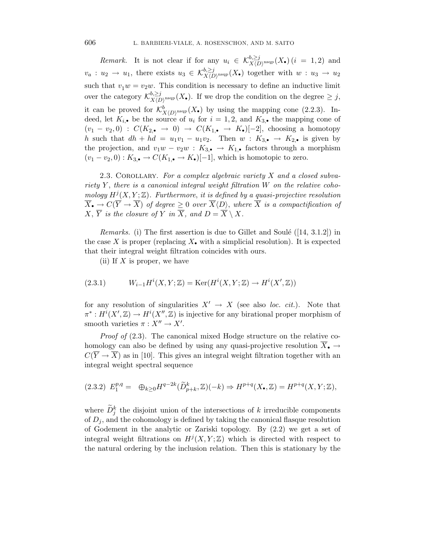Remark. It is not clear if for any  $u_i \in \mathcal{K}_{X(D)^{\text{nsqp}}}^{b,\geq j}(X_{\bullet})$  ( $i = 1, 2$ ) and  $v_a: u_2 \to u_1$ , there exists  $u_3 \in \mathcal{K}_{X(D)^{\text{nsqp}}}^{b, \geq j}(X_{\bullet})$  together with  $w: u_3 \to u_2$ such that  $v_1w = v_2w$ . This condition is necessary to define an inductive limit over the category  $\mathcal{K}_{X(D)^{nsqp}}^{b,\geq j}(X_{\bullet}).$  If we drop the condition on the degree  $\geq j$ , it can be proved for  $\mathcal{K}^b_{X(D)^{\text{nsqp}}}(X_{\bullet})$  by using the mapping cone (2.2.3). Indeed, let  $K_{i, \bullet}$  be the source of  $u_i$  for  $i = 1, 2$ , and  $K_{3, \bullet}$  the mapping cone of  $(v_1 - v_2, 0)$ :  $C(K_{2,\bullet} \rightarrow 0) \rightarrow C(K_{1,\bullet} \rightarrow K_{\bullet})[-2]$ , choosing a homotopy h such that  $dh + hd = u_1v_1 - u_1v_2$ . Then  $w : K_{3,\bullet} \to K_{2,\bullet}$  is given by the projection, and  $v_1w - v_2w : K_{3, \bullet} \to K_{1, \bullet}$  factors through a morphism  $(v_1 - v_2, 0) : K_{3, \bullet} \to C(K_{1, \bullet} \to K_{\bullet})[-1]$ , which is homotopic to zero.

2.3. COROLLARY. For a complex algebraic variety  $X$  and a closed subvariety  $Y$ , there is a canonical integral weight filtration  $W$  on the relative cohomology  $H^{j}(X, Y; \mathbb{Z})$ . Furthermore, it is defined by a quasi-projective resolution  $\overline{X}_{\bullet}\to C(\overline{Y}\to \overline{X})$  of degree  $\geq 0$  over  $\overline{X}\langle D\rangle,$  where  $\overline{X}$  is a compactification of  $X, \overline{Y}$  is the closure of Y in  $\overline{X}$ , and  $D = \overline{X} \setminus X$ .

*Remarks.* (i) The first assertion is due to Gillet and Soulé ([14, 3.1.2]) in the case X is proper (replacing  $X_{\bullet}$  with a simplicial resolution). It is expected that their integral weight filtration coincides with ours.

(ii) If  $X$  is proper, we have

(2.3.1) 
$$
W_{i-1}H^{i}(X,Y;\mathbb{Z}) = \text{Ker}(H^{i}(X,Y;\mathbb{Z}) \to H^{i}(X',\mathbb{Z}))
$$

for any resolution of singularities  $X' \to X$  (see also loc. cit.). Note that  $\pi^*: H^i(X', \mathbb{Z}) \to H^i(X'', \mathbb{Z})$  is injective for any birational proper morphism of smooth varieties  $\pi : X'' \to X'$ .

*Proof of*  $(2.3)$ . The canonical mixed Hodge structure on the relative cohomology can also be defined by using any quasi-projective resolution  $\overline{X}_{\bullet} \rightarrow$  $C(\overline{Y} \to \overline{X})$  as in [10]. This gives an integral weight filtration together with an integral weight spectral sequence

$$
(2.3.2) E_1^{p,q} = \oplus_{k \ge 0} H^{q-2k}(\widetilde{D}_{p+k}^k, \mathbb{Z})(-k) \Rightarrow H^{p+q}(X, \mathbb{Z}) = H^{p+q}(X, Y; \mathbb{Z}),
$$

where  $\widetilde{D}_j^k$  the disjoint union of the intersections of k irreducible components of  $D_i$ , and the cohomology is defined by taking the canonical flasque resolution of Godement in the analytic or Zariski topology. By (2.2) we get a set of integral weight filtrations on  $H^{j}(X, Y; \mathbb{Z})$  which is directed with respect to the natural ordering by the inclusion relation. Then this is stationary by the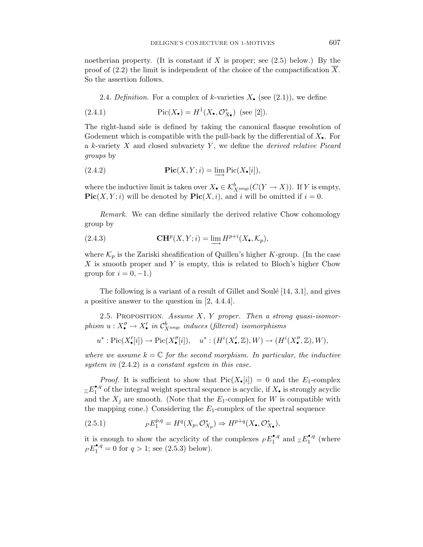noetherian property. (It is constant if X is proper; see  $(2.5)$  below.) By the proof of (2.2) the limit is independent of the choice of the compactification  $\overline{X}$ . So the assertion follows.

2.4. Definition. For a complex of k-varieties  $X_{\bullet}$  (see (2.1)), we define

(2.4.1) 
$$
Pic(X_{\bullet}) = H^{1}(X_{\bullet}, \mathcal{O}_{X_{\bullet}}^{*}) \text{ (see [2]).}
$$

The right-hand side is defined by taking the canonical flasque resolution of Godement which is compatible with the pull-back by the differential of  $X_{\bullet}$ . For a  $k$ -variety  $X$  and closed subvariety  $Y$ , we define the *derived relative Picard* groups by

(2.4.2) 
$$
\operatorname{Pic}(X,Y;i) = \lim_{\longrightarrow} \operatorname{Pic}(X_{\bullet}[i]),
$$

where the inductive limit is taken over  $X_{\bullet} \in \mathcal{K}_{X^{\text{nsqp}}}^b(C(Y \to X))$ . If Y is empty, **Pic** $(X, Y; i)$  will be denoted by **Pic** $(X, i)$ , and i will be omitted if  $i = 0$ .

Remark. We can define similarly the derived relative Chow cohomology group by

(2.4.3) 
$$
\mathbf{C}\mathbf{H}^p(X,Y;i) = \lim_{n \to \infty} H^{p+i}(X_{\bullet}, \mathcal{K}_p),
$$

where  $\mathcal{K}_p$  is the Zariski sheafification of Quillen's higher K-group. (In the case X is smooth proper and Y is empty, this is related to Bloch's higher Chow group for  $i = 0, -1.$ )

The following is a variant of a result of Gillet and Soulé  $[14, 3.1]$ , and gives a positive answer to the question in [2, 4.4.4].

2.5. PROPOSITION. Assume  $X$ ,  $Y$  proper. Then a strong quasi-isomorphism  $u: X''_{\bullet} \to X'_{\bullet}$  in  $C^b_{X^{\text{nsqp}}}$  induces (filtered) isomorphisms

$$
u^*: {\rm Pic}(X'_{\bullet}[i]) \to {\rm Pic}(X''_{\bullet}[i]), \quad u^*: (H^i(X'_{\bullet}, \mathbb{Z}), W) \to (H^i(X''_{\bullet}, \mathbb{Z}), W),
$$

where we assume  $k = \mathbb{C}$  for the second morphism. In particular, the inductive system in  $(2.4.2)$  is a constant system in this case.

*Proof.* It is sufficient to show that  $Pic(X_{\bullet}[i]) = 0$  and the  $E_1$ -complex  $Z\mathcal{E}_1^{\bullet,q}$  of the integral weight spectral sequence is acyclic, if  $X_{\bullet}$  is strongly acyclic and the  $X_i$  are smooth. (Note that the  $E_1$ -complex for W is compatible with the mapping cone.) Considering the  $E_1$ -complex of the spectral sequence

(2.5.1) 
$$
P E_1^{p,q} = H^q(X_p, \mathcal{O}_{X_p}^*) \Rightarrow H^{p+q}(X_{\bullet}, \mathcal{O}_{X_{\bullet}}^*),
$$

it is enough to show the acyclicity of the complexes  ${pE_1^{^{\bullet,q}}}$  and  ${zE_1^{^{\bullet,q}}}$  (where  $pE_1^{\bullet,q} = 0$  for  $q > 1$ ; see (2.5.3) below).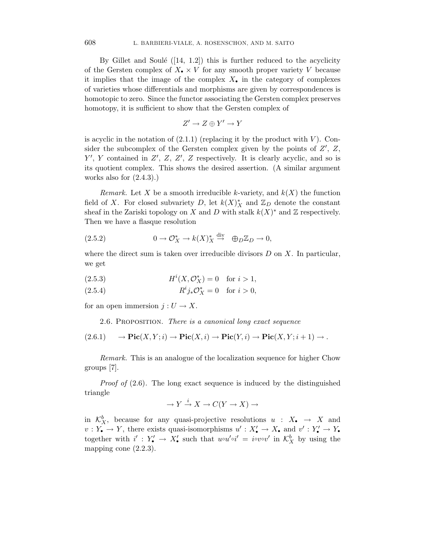By Gillet and Soulé  $([14, 1.2])$  this is further reduced to the acyclicity of the Gersten complex of  $X_{\bullet} \times V$  for any smooth proper variety V because it implies that the image of the complex  $X_{\bullet}$  in the category of complexes of varieties whose differentials and morphisms are given by correspondences is homotopic to zero. Since the functor associating the Gersten complex preserves homotopy, it is sufficient to show that the Gersten complex of

$$
Z' \to Z \oplus Y' \to Y
$$

is acyclic in the notation of  $(2.1.1)$  (replacing it by the product with V). Consider the subcomplex of the Gersten complex given by the points of  $Z'$ ,  $Z$ ,  $Y', Y$  contained in  $Z', Z, Z', Z$  respectively. It is clearly acyclic, and so is its quotient complex. This shows the desired assertion. (A similar argument works also for  $(2.4.3).$ 

Remark. Let X be a smooth irreducible k-variety, and  $k(X)$  the function field of X. For closed subvariety D, let  $k(X)_X^*$  and  $\mathbb{Z}_D$  denote the constant sheaf in the Zariski topology on X and D with stalk  $k(X)^*$  and Z respectively. Then we have a flasque resolution

(2.5.2) 
$$
0 \to \mathcal{O}_X^* \to k(X)_X^* \stackrel{\text{div}}{\to} \oplus_D \mathbb{Z}_D \to 0,
$$

where the direct sum is taken over irreducible divisors  $D$  on  $X$ . In particular, we get

(2.5.3) 
$$
H^{i}(X, \mathcal{O}_{X}^{*}) = 0 \text{ for } i > 1,
$$

(2.5.4) 
$$
R^{i}j_{*}\mathcal{O}_{X}^{*} = 0
$$
 for  $i > 0$ ,

for an open immersion  $j: U \to X$ .

2.6. Proposition. There is a canonical long exact sequence

$$
(2.6.1) \qquad \to \mathbf{Pic}(X,Y;i) \to \mathbf{Pic}(X,i) \to \mathbf{Pic}(Y,i) \to \mathbf{Pic}(X,Y;i+1) \to .
$$

Remark. This is an analogue of the localization sequence for higher Chow groups [7].

Proof of  $(2.6)$ . The long exact sequence is induced by the distinguished triangle

$$
\to Y \xrightarrow{i} X \to C(Y \to X) \to
$$

in  $\mathcal{K}_X^b$ , because for any quasi-projective resolutions  $u : X_{\bullet} \to X$  and  $v: Y_{\bullet} \to Y$ , there exists quasi-isomorphisms  $u': X'_{\bullet} \to X_{\bullet}$  and  $v': Y'_{\bullet} \to Y_{\bullet}$ together with  $i': Y'_{\bullet} \to X'_{\bullet}$  such that  $u \circ u' \circ i' = i \circ v \circ v'$  in  $\mathcal{K}^b_X$  by using the mapping cone (2.2.3).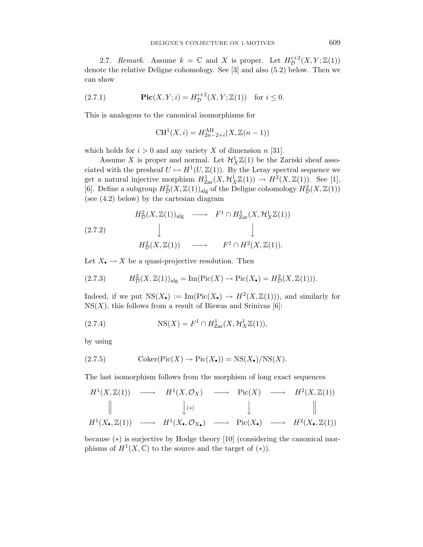2.7. Remark. Assume  $k = \mathbb{C}$  and X is proper. Let  $H^{i+2}_\mathcal{D}(X, Y; \mathbb{Z}(1))$ denote the relative Deligne cohomology. See [3] and also (5.2) below. Then we can show

(2.7.1) 
$$
\text{Pic}(X, Y; i) = H_{\mathcal{D}}^{i+2}(X, Y; \mathbb{Z}(1)) \text{ for } i \leq 0.
$$

This is analogous to the canonical isomorphisms for

$$
CH^{1}(X, i) = H_{2n-2+i}^{\text{AH}}(X, \mathbb{Z}(n-1))
$$

which holds for  $i > 0$  and any variety X of dimension n [31].

Assume X is proper and normal. Let  $\mathcal{H}_X^1 \mathbb{Z}(1)$  be the Zariski sheaf associated with the presheaf  $U \mapsto H^1(U, \mathbb{Z}(1))$ . By the Leray spectral sequence we get a natural injective morphism  $H_{\text{Zar}}^1(X, \mathcal{H}_X^1 \mathbb{Z}(1)) \to H^2(X, \mathbb{Z}(1)).$  See [1], [6]. Define a subgroup  $H_D^2(X, \mathbb{Z}(1))$ <sub>alg</sub> of the Deligne cohomology  $H_D^2(X, \mathbb{Z}(1))$ (see (4.2) below) by the cartesian diagram

$$
H_D^2(X, \mathbb{Z}(1))_{\text{alg}} \longrightarrow F^1 \cap H_{\text{Zar}}^1(X, \mathcal{H}_X^1 \mathbb{Z}(1))
$$
\n
$$
(2.7.2) \qquad \qquad \downarrow \qquad \qquad \downarrow
$$
\n
$$
H_D^2(X, \mathbb{Z}(1)) \longrightarrow F^1 \cap H^2(X, \mathbb{Z}(1)).
$$

Let  $X_{\bullet} \to X$  be a quasi-projective resolution. Then

(2.7.3) 
$$
H^2_{\mathcal{D}}(X,\mathbb{Z}(1))_{\text{alg}} = \text{Im}(\text{Pic}(X) \to \text{Pic}(X_{\bullet}) = H^2_{\mathcal{D}}(X,\mathbb{Z}(1))).
$$

Indeed, if we put  $NS(X_{\bullet}) := Im(Pic(X_{\bullet}) \rightarrow H^2(X,\mathbb{Z}(1)))$ , and similarly for  $NS(X)$ , this follows from a result of Biswas and Srinivas [6]:

(2.7.4) 
$$
NS(X) = F^{1} \cap H_{\text{Zar}}^{1}(X, \mathcal{H}_{X}^{1} \mathbb{Z}(1)),
$$

by using

$$
(2.7.5) \t\text{Coker}(\text{Pic}(X) \to \text{Pic}(X_{\bullet})) = \text{NS}(X_{\bullet})/\text{NS}(X).
$$

The last isomorphism follows from the morphism of long exact sequences

$$
H^{1}(X, \mathbb{Z}(1)) \longrightarrow H^{1}(X, \mathcal{O}_{X}) \longrightarrow Pic(X) \longrightarrow H^{2}(X, \mathbb{Z}(1))
$$
  
\n
$$
\parallel \qquad \qquad \downarrow \qquad \qquad \parallel \qquad \qquad \parallel
$$
  
\n
$$
H^{1}(X_{\bullet}, \mathbb{Z}(1)) \longrightarrow H^{1}(X_{\bullet}, \mathcal{O}_{X_{\bullet}}) \longrightarrow Pic(X_{\bullet}) \longrightarrow H^{2}(X_{\bullet}, \mathbb{Z}(1))
$$

because (∗) is surjective by Hodge theory [10] (considering the canonical morphisms of  $H^1(X,\mathbb{C})$  to the source and the target of  $(*)$ ).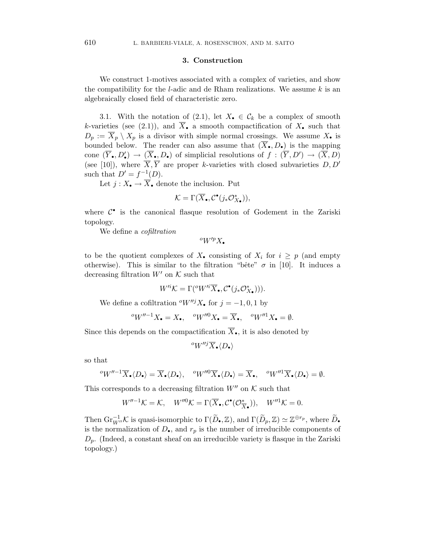#### **3. Construction**

We construct 1-motives associated with a complex of varieties, and show the compatibility for the *l*-adic and de Rham realizations. We assume  $k$  is an algebraically closed field of characteristic zero.

3.1. With the notation of (2.1), let  $X_{\bullet} \in \mathcal{C}_k$  be a complex of smooth k-varieties (see (2.1)), and  $\overline{X}_\bullet$  a smooth compactification of  $X_\bullet$  such that  $D_p := \overline{X}_p \setminus X_p$  is a divisor with simple normal crossings. We assume  $X_{\bullet}$  is bounded below. The reader can also assume that  $(\overline{X}_{\bullet}, D_{\bullet})$  is the mapping cone  $(\overline{Y}_\bullet, D'_\bullet) \to (\overline{X}_\bullet, D_\bullet)$  of simplicial resolutions of  $f : (\overline{Y}, D') \to (\overline{X}, D)$ (see [10]), where  $\overline{X}, \overline{Y}$  are proper k-varieties with closed subvarieties  $D, D'$ such that  $D' = f^{-1}(D)$ .

Let  $j: X_{\bullet} \to \overline{X}_{\bullet}$  denote the inclusion. Put

$$
\mathcal{K} = \Gamma(\overline{X}_{\bullet}, \mathcal{C}^{\bullet}(j_*\mathcal{O}_{X_{\bullet}}^*)),
$$

where  $C^{\bullet}$  is the canonical flasque resolution of Godement in the Zariski topology.

We define a *cofiltration* 

 $^oW^{\prime p}X_{\bullet}$ 

to be the quotient complexes of  $X_{\bullet}$  consisting of  $X_i$  for  $i \geq p$  (and empty otherwise). This is similar to the filtration "bête"  $\sigma$  in [10]. It induces a decreasing filtration  $W'$  on  $K$  such that

$$
W'^{i} \mathcal{K} = \Gamma({}^o W'^{i} \overline{X}_{\bullet}, \mathcal{C}^{\bullet}(j_* \mathcal{O}_{X\bullet}^*))).
$$

We define a cofiltration  $\partial W''^j X$ , for  $j = -1, 0, 1$  by

$$
{}^{o}W''^{-1}X_{\bullet}=X_{\bullet}, \quad {}^{o}W''^{0}X_{\bullet}=\overline{X}_{\bullet}, \quad {}^{o}W''^{1}X_{\bullet}=\emptyset.
$$

Since this depends on the compactification  $\overline{X}_{\bullet}$ , it is also denoted by

$$
{}^oW''^j\overline{X}_\bullet\langle D_\bullet\rangle
$$

so that

$$
{}^{o}W''^{-1}\overline{X}_{\bullet}\langle D_{\bullet}\rangle=\overline{X}_{\bullet}\langle D_{\bullet}\rangle,\quad {}^{o}W''^{0}\overline{X}_{\bullet}\langle D_{\bullet}\rangle=\overline{X}_{\bullet},\quad {}^{o}W''^{1}\overline{X}_{\bullet}\langle D_{\bullet}\rangle=\emptyset.
$$

This corresponds to a decreasing filtration  $W''$  on  $K$  such that

$$
W''^{-1}\mathcal{K} = \mathcal{K}, \quad W''^{0}\mathcal{K} = \Gamma(\overline{X}_{\bullet}, \mathcal{C}^{\bullet}(\mathcal{O}_{\overline{X}_{\bullet}}^{\ast})), \quad W''^{1}\mathcal{K} = 0.
$$

Then  $\text{Gr}_{W''}^{-1} \mathcal{K}$  is quasi-isomorphic to  $\Gamma(\widetilde{D}_{\bullet}, \mathbb{Z})$ , and  $\Gamma(\widetilde{D}_p, \mathbb{Z}) \simeq \mathbb{Z}^{\oplus r_p}$ , where  $\widetilde{D}_{\bullet}$ is the normalization of  $D_{\bullet}$ , and  $r_p$  is the number of irreducible components of  $D_p$ . (Indeed, a constant sheaf on an irreducible variety is flasque in the Zariski topology.)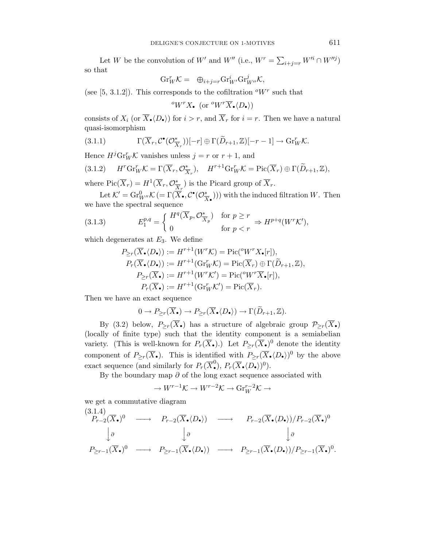Let W be the convolution of W' and W" (i.e.,  $W^r = \sum_{i+j=r} W'^i \cap W''^j$ ) so that

$$
\mathrm{Gr}_{W}^{r} \mathcal{K} = \oplus_{i+j=r} \mathrm{Gr}_{W'}^{i} \mathrm{Gr}_{W''}^{j} \mathcal{K},
$$

(see [5, 3.1.2]). This corresponds to the cofiltration  $\alpha W^r$  such that

$$
{}^oW^rX_\bullet\text{ (or }\, {}^oW^r\overline{X}_\bullet\langle D_\bullet\rangle)
$$

consists of  $X_i$  (or  $X_{\bullet} \langle D_{\bullet} \rangle$ ) for  $i > r$ , and  $X_r$  for  $i = r$ . Then we have a natural quasi-isomorphism

(3.1.1) 
$$
\Gamma(\overline{X}_r, \mathcal{C}^{\bullet}(\mathcal{O}_{\overline{X}_r}^{\ast}))[-r] \oplus \Gamma(\widetilde{D}_{r+1}, \mathbb{Z})[-r-1] \to \mathrm{Gr}_{W}^{r} \mathcal{K}.
$$

Hence  $H^j \text{Gr}_W^r \mathcal{K}$  vanishes unless  $j = r$  or  $r + 1$ , and

$$
(3.1.2) \quad H^r \text{Gr}_W^r \mathcal{K} = \Gamma(\overline{X}_r, \mathcal{O}_{\overline{X}_r}^*), \quad H^{r+1} \text{Gr}_W^r \mathcal{K} = \text{Pic}(\overline{X}_r) \oplus \Gamma(\widetilde{D}_{r+1}, \mathbb{Z}),
$$

where  $Pic(\overline{X}_r) = H^1(\overline{X}_r, \mathcal{O}_{\overline{X}_r}^*)$  is the Picard group of  $\overline{X}_r$ .

Let  $\mathcal{K}' = \mathrm{Gr}_{W''}^0 \mathcal{K} = \Gamma(\overline{X}_\bullet, \mathcal{C}^\bullet(\mathcal{O}_{\overline{X}_\bullet}^*))$  with the induced filtration W. Then we have the spectral sequence

(3.1.3) 
$$
E_1^{p,q} = \begin{cases} H^q(\overline{X}_p, \mathcal{O}_{\overline{X}_p}^*) & \text{for } p \ge r \\ 0 & \text{for } p < r \end{cases} \Rightarrow H^{p+q}(W^r\mathcal{K}'),
$$

which degenerates at  $E_3$ . We define

$$
P_{\geq r}(\overline{X}_{\bullet} \langle D_{\bullet} \rangle) := H^{r+1}(W^r \mathcal{K}) = \text{Pic}({}^o W^r X_{\bullet}[r]),
$$
  
\n
$$
P_r(\overline{X}_{\bullet} \langle D_{\bullet} \rangle) := H^{r+1}(\text{Gr}_W^r \mathcal{K}) = \text{Pic}(\overline{X}_r) \oplus \Gamma(\widetilde{D}_{r+1}, \mathbb{Z}),
$$
  
\n
$$
P_{\geq r}(\overline{X}_{\bullet}) := H^{r+1}(W^r \mathcal{K}') = \text{Pic}({}^o W^r \overline{X}_{\bullet}[r]),
$$
  
\n
$$
P_r(\overline{X}_{\bullet}) := H^{r+1}(\text{Gr}_W^r \mathcal{K}') = \text{Pic}(\overline{X}_r).
$$

Then we have an exact sequence

$$
0 \to P_{\geq r}(\overline{X}_{\bullet}) \to P_{\geq r}(\overline{X}_{\bullet} \langle D_{\bullet} \rangle) \to \Gamma(\widetilde{D}_{r+1}, \mathbb{Z}).
$$

By (3.2) below,  $P_{\geq r}(\overline{X}_{\bullet})$  has a structure of algebraic group  $\mathcal{P}_{\geq r}(\overline{X}_{\bullet})$ (locally of finite type) such that the identity component is a semiabelian variety. (This is well-known for  $P_r(\overline{X}_{\bullet})$ .) Let  $P_{\geq r}(\overline{X}_{\bullet})^0$  denote the identity component of  $P_{\geq r}(\overline{X}_{\bullet})$ . This is identified with  $P_{\geq r}(\overline{X}_{\bullet} \langle D_{\bullet} \rangle)^0$  by the above exact sequence (and similarly for  $P_r(\overline{X}_\bullet^0), P_r(\overline{X}_\bullet \langle D_\bullet \rangle)^0$ ).

By the boundary map  $\partial$  of the long exact sequence associated with

$$
\to W^{r-1}K \to W^{r-2}K \to \text{Gr}_{W}^{r-2}K \to
$$

we get a commutative diagram

$$
(3.1.4)
$$
\n
$$
P_{r-2}(\overline{X}_{\bullet})^{0} \longrightarrow P_{r-2}(\overline{X}_{\bullet}\langle D_{\bullet}\rangle) \longrightarrow P_{r-2}(\overline{X}_{\bullet}\langle D_{\bullet}\rangle)/P_{r-2}(\overline{X}_{\bullet})^{0}
$$
\n
$$
\downarrow \partial \qquad \qquad \downarrow \partial \qquad \qquad \downarrow \partial
$$
\n
$$
P_{\geq r-1}(\overline{X}_{\bullet})^{0} \longrightarrow P_{\geq r-1}(\overline{X}_{\bullet}\langle D_{\bullet}\rangle) \longrightarrow P_{\geq r-1}(\overline{X}_{\bullet}\langle D_{\bullet}\rangle)/P_{\geq r-1}(\overline{X}_{\bullet})^{0}.
$$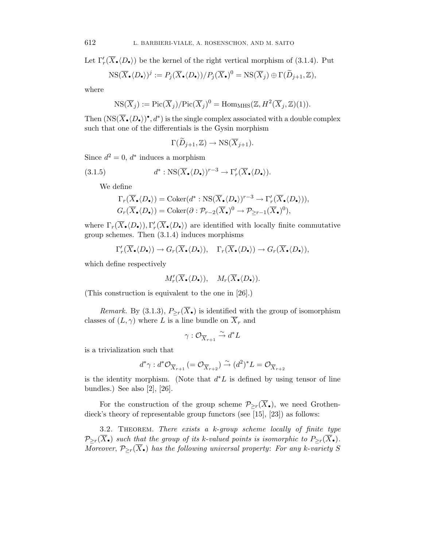Let  $\Gamma'_r(X_{\bullet} \langle D_{\bullet} \rangle)$  be the kernel of the right vertical morphism of (3.1.4). Put

$$
NS(\overline{X}_{\bullet}\langle D_{\bullet}\rangle)^{j} := P_{j}(\overline{X}_{\bullet}\langle D_{\bullet}\rangle)/P_{j}(\overline{X}_{\bullet})^{0} = NS(\overline{X}_{j}) \oplus \Gamma(\widetilde{D}_{j+1}, \mathbb{Z}),
$$

where

$$
NS(\overline{X}_j) := Pic(\overline{X}_j)/ Pic(\overline{X}_j)^0 = HomMHS(\mathbb{Z}, H^2(\overline{X}_j, \mathbb{Z})(1)).
$$

Then  $(\text{NS}(\overline{X}_{\bullet} \langle D_{\bullet} \rangle)^{\bullet}, d^{\ast})$  is the single complex associated with a double complex such that one of the differentials is the Gysin morphism

$$
\Gamma(\widetilde{D}_{j+1}, \mathbb{Z}) \to \text{NS}(\overline{X}_{j+1}).
$$

Since  $d^2 = 0$ ,  $d^*$  induces a morphism

(3.1.5) 
$$
d^* : \text{NS}(\overline{X}_{\bullet} \langle D_{\bullet} \rangle)^{r-3} \to \Gamma'_r(\overline{X}_{\bullet} \langle D_{\bullet} \rangle).
$$

We define

$$
\Gamma_r(\overline{X}_{\bullet}\langle D_{\bullet} \rangle) = \text{Coker}(d^* : \text{NS}(\overline{X}_{\bullet}\langle D_{\bullet} \rangle)^{r-3} \to \Gamma'_r(\overline{X}_{\bullet}\langle D_{\bullet} \rangle)),
$$
  

$$
G_r(\overline{X}_{\bullet}\langle D_{\bullet} \rangle) = \text{Coker}(\partial : \mathcal{P}_{r-2}(\overline{X}_{\bullet})^0 \to \mathcal{P}_{\geq r-1}(\overline{X}_{\bullet})^0),
$$

where  $\Gamma_r(\overline{X}_\bullet\langle D_\bullet\rangle), \Gamma'_r(\overline{X}_\bullet\langle D_\bullet\rangle)$  are identified with locally finite commutative group schemes. Then (3.1.4) induces morphisms

$$
\Gamma'_r(\overline{X}_\bullet\langle D_\bullet\rangle)\to G_r(\overline{X}_\bullet\langle D_\bullet\rangle), \quad \Gamma_r(\overline{X}_\bullet\langle D_\bullet\rangle)\to G_r(\overline{X}_\bullet\langle D_\bullet\rangle),
$$

which define respectively

$$
M'_r(\overline{X}_{\bullet}\langle D_{\bullet} \rangle), \quad M_r(\overline{X}_{\bullet}\langle D_{\bullet} \rangle).
$$

(This construction is equivalent to the one in [26].)

*Remark.* By (3.1.3),  $P_{\geq r}(\overline{X}_{\bullet})$  is identified with the group of isomorphism classes of  $(L, \gamma)$  where L is a line bundle on  $\overline{X}_r$  and

$$
\gamma: \mathcal{O}_{\overline{X}_{r+1}} \xrightarrow{\sim} d^*L
$$

is a trivialization such that

$$
d^*\gamma: d^*\mathcal{O}_{\overline{X}_{r+1}}(=\mathcal{O}_{\overline{X}_{r+2}}) \stackrel{\sim}{\to} (d^2)^*L = \mathcal{O}_{\overline{X}_{r+2}}
$$

is the identity morphism. (Note that  $d^*L$  is defined by using tensor of line bundles.) See also [2], [26].

For the construction of the group scheme  $\mathcal{P}_{\geq r}(\overline{X}_{\bullet})$ , we need Grothendieck's theory of representable group functors (see [15], [23]) as follows:

3.2. Theorem. There exists a k-group scheme locally of finite type  $\mathcal{P}_{\geq r}(\overline{X}_{\bullet})$  such that the group of its k-valued points is isomorphic to  $P_{\geq r}(\overline{X}_{\bullet})$ . Moreover,  $\mathcal{P}_{\geq r}(\overline{X}_{\bullet})$  has the following universal property: For any k-variety S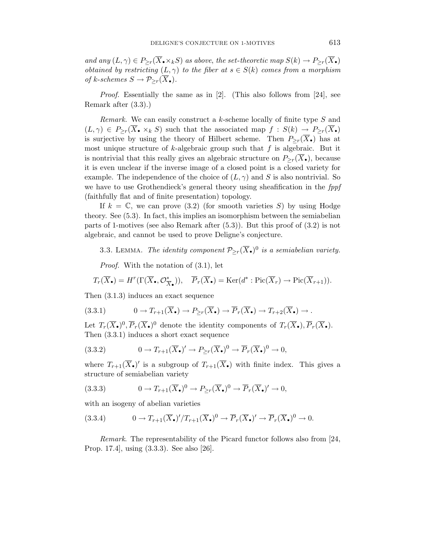and any  $(L, \gamma) \in P_{\geq r}(\overline{X}_{\bullet} \times_k S)$  as above, the set-theoretic map  $S(k) \to P_{\geq r}(\overline{X}_{\bullet})$ obtained by restricting  $(L, \gamma)$  to the fiber at  $s \in S(k)$  comes from a morphism of k-schemes  $S \to \mathcal{P}_{\geq r}(\overline{X}_{\bullet}).$ 

Proof. Essentially the same as in [2]. (This also follows from [24], see Remark after (3.3).)

Remark. We can easily construct a k-scheme locally of finite type S and  $(L, \gamma) \in P_{\geq r}(\overline{X}_{\bullet} \times_k S)$  such that the associated map  $f : S(k) \to P_{\geq r}(\overline{X}_{\bullet})$ is surjective by using the theory of Hilbert scheme. Then  $P_{\geq r}(\overline{X}_{\bullet})$  has at most unique structure of k-algebraic group such that  $f$  is algebraic. But it is nontrivial that this really gives an algebraic structure on  $P_{\geq r}(\overline{X}_{\bullet})$ , because it is even unclear if the inverse image of a closed point is a closed variety for example. The independence of the choice of  $(L, \gamma)$  and S is also nontrivial. So we have to use Grothendieck's general theory using sheafification in the fppf (faithfully flat and of finite presentation) topology.

If  $k = \mathbb{C}$ , we can prove (3.2) (for smooth varieties S) by using Hodge theory. See (5.3). In fact, this implies an isomorphism between the semiabelian parts of 1-motives (see also Remark after (5.3)). But this proof of (3.2) is not algebraic, and cannot be used to prove Deligne's conjecture.

3.3. LEMMA. The identity component  $\mathcal{P}_{\geq r}(\overline{X}_{\bullet})^0$  is a semiabelian variety.

Proof. With the notation of (3.1), let

$$
T_r(\overline{X}_{\bullet}) = H^r(\Gamma(\overline{X}_{\bullet}, \mathcal{O}_{\overline{X}_{\bullet}}^{\ast})), \quad \overline{P}_r(\overline{X}_{\bullet}) = \text{Ker}(d^* : \text{Pic}(\overline{X}_r) \to \text{Pic}(\overline{X}_{r+1})).
$$

Then (3.1.3) induces an exact sequence

$$
(3.3.1) \t 0 \to T_{r+1}(\overline{X}_{\bullet}) \to P_{\geq r}(\overline{X}_{\bullet}) \to \overline{P}_r(\overline{X}_{\bullet}) \to T_{r+2}(\overline{X}_{\bullet}) \to .
$$

Let  $T_r(\overline{X}_{\bullet})^0$ ,  $\overline{P}_r(\overline{X}_{\bullet})^0$  denote the identity components of  $T_r(\overline{X}_{\bullet})$ ,  $\overline{P}_r(\overline{X}_{\bullet})$ . Then (3.3.1) induces a short exact sequence

(3.3.2) 
$$
0 \to T_{r+1}(\overline{X}_{\bullet})' \to P_{\geq r}(\overline{X}_{\bullet})^0 \to \overline{P}_r(\overline{X}_{\bullet})^0 \to 0,
$$

where  $T_{r+1}(\overline{X}_{\bullet})'$  is a subgroup of  $T_{r+1}(\overline{X}_{\bullet})$  with finite index. This gives a structure of semiabelian variety

(3.3.3) 
$$
0 \to T_{r+1}(\overline{X}_{\bullet})^0 \to P_{\geq r}(\overline{X}_{\bullet})^0 \to \overline{P}_r(\overline{X}_{\bullet})' \to 0,
$$

with an isogeny of abelian varieties

$$
(3.3.4) \t 0 \to T_{r+1}(\overline{X}_{\bullet})'/T_{r+1}(\overline{X}_{\bullet})^0 \to \overline{P}_r(\overline{X}_{\bullet})' \to \overline{P}_r(\overline{X}_{\bullet})^0 \to 0.
$$

Remark. The representability of the Picard functor follows also from [24, Prop. 17.4], using (3.3.3). See also [26].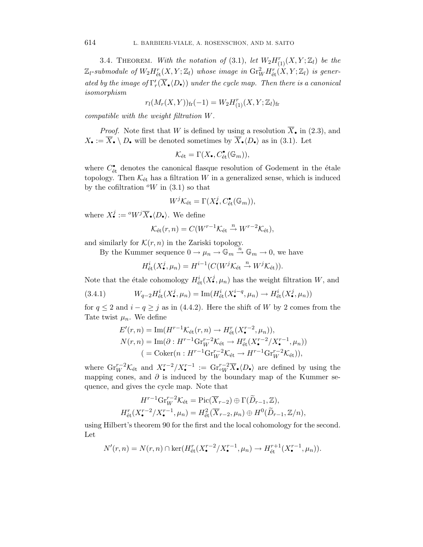3.4. THEOREM. With the notation of (3.1), let  $W_2H_{(1)}^r(X,Y;\mathbb{Z}_l)$  be the  $\mathbb{Z}_l$ -submodule of  $W_2H^r_{\text{\'et}}(X,Y;\mathbb{Z}_l)$  whose image in  $\mathrm{Gr}^2_WH^r_{\text{\'et}}(X,Y;\mathbb{Z}_l)$  is generated by the image of  $\Gamma'_r(X_{\bullet} \langle D_{\bullet} \rangle)$  under the cycle map. Then there is a canonical isomorphism

$$
r_l(M_r(X, Y))_{\text{fr}}(-1) = W_2 H_{(1)}^r(X, Y; \mathbb{Z}_l)_{\text{fr}}
$$

compatible with the weight filtration W.

*Proof.* Note first that W is defined by using a resolution  $\overline{X}_{\bullet}$  in (2.3), and  $X_{\bullet} := \overline{X}_{\bullet} \setminus D_{\bullet}$  will be denoted sometimes by  $\overline{X}_{\bullet} \langle D_{\bullet} \rangle$  as in (3.1). Let

$$
\mathcal{K}_{\text{\'et}} = \Gamma(X_{\bullet}, C_{\text{\'et}}^{\bullet}(\mathbb{G}_m)),
$$

where  $C_{\text{\'et}}^{\bullet}$  denotes the canonical flasque resolution of Godement in the étale topology. Then  $\mathcal{K}_{\text{\'et}}$  has a filtration W in a generalized sense, which is induced by the cofiltration  $\mathcal{O}_W$  in (3.1) so that

$$
W^{j} \mathcal{K}_{\text{\'et}} = \Gamma(X_{\bullet}^{j}, C_{\text{\'et}}^{\bullet}(\mathbb{G}_{m})),
$$

where  $X_{\bullet}^{j} := {}^{\text{\o}} W^j \overline{X}_{\bullet} \langle D_{\bullet} \rangle$ . We define

$$
\mathcal{K}_{\text{\'et}}(r,n) = C(W^{r-1}\mathcal{K}_{\text{\'et}} \stackrel{n}{\to} W^{r-2}\mathcal{K}_{\text{\'et}}),
$$

and similarly for  $\mathcal{K}(r, n)$  in the Zariski topology.

By the Kummer sequence  $0 \to \mu_n \to \mathbb{G}_m \stackrel{n}{\to} \mathbb{G}_m \to 0$ , we have

$$
H^i_{\text{\'et}}(X^j_{\bullet},\mu_n) = H^{i-1}(C(W^j\mathcal{K}_{\text{\'et}} \stackrel{n}{\to} W^j\mathcal{K}_{\text{\'et}})).
$$

Note that the étale cohomology  $H^i_{\text{\'et}}(X^j_\bullet,\mu_n)$  has the weight filtration  $W,$  and

(3.4.1)  $W_{q-2}H_{\text{\'et}}^i(X_{\bullet}^j, \mu_n) = \text{Im}(H_{\text{\'et}}^i(X_{\bullet}^{i-q}, \mu_n) \to H_{\text{\'et}}^i(X_{\bullet}^j, \mu_n))$ 

for  $q \leq 2$  and  $i - q \geq j$  as in (4.4.2). Here the shift of W by 2 comes from the Tate twist  $\mu_n$ . We define

$$
E'(r,n) = \text{Im}(H^{r-1}\mathcal{K}_{\text{\'et}}(r,n) \to H_{\text{\'et}}^r(X^{r-2}_*,\mu_n)),
$$
  
\n
$$
N(r,n) = \text{Im}(\partial : H^{r-1}\text{Gr}_{W}^{r-2}\mathcal{K}_{\text{\'et}} \to H_{\text{\'et}}^r(X^{r-2}_*,X^{r-1}_*,\mu_n))
$$
  
\n
$$
= \text{Coker}(n : H^{r-1}\text{Gr}_{W}^{r-2}\mathcal{K}_{\text{\'et}} \to H^{r-1}\text{Gr}_{W}^{r-2}\mathcal{K}_{\text{\'et}})),
$$

where  $\text{Gr}_{W}^{r-2} \mathcal{K}_{\text{\text{\'et}}}$  and  $X_{\bullet}^{r-2}/X_{\bullet}^{r-1} := \text{Gr}_{\circ W}^{r-2} \overline{X}_{\bullet} \langle D_{\bullet} \rangle$  are defined by using the mapping cones, and  $\partial$  is induced by the boundary map of the Kummer sequence, and gives the cycle map. Note that

$$
H^{r-1} \text{Gr}_{W}^{r-2} \mathcal{K}_{\text{\'et}} = \text{Pic}(\overline{X}_{r-2}) \oplus \Gamma(\widetilde{D}_{r-1}, \mathbb{Z}),
$$
  

$$
H_{\text{\'et}}^{r}(X_{\bullet}^{r-2}/X_{\bullet}^{r-1}, \mu_{n}) = H_{\text{\'et}}^{2}(\overline{X}_{r-2}, \mu_{n}) \oplus H^{0}(\widetilde{D}_{r-1}, \mathbb{Z}/n),
$$

using Hilbert's theorem 90 for the first and the local cohomology for the second. Let

$$
N'(r,n) = N(r,n) \cap \ker(H_{\text{\'et}}^r(X_{\bullet}^{r-2}/X_{\bullet}^{r-1},\mu_n) \to H_{\text{\'et}}^{r+1}(X_{\bullet}^{r-1},\mu_n)).
$$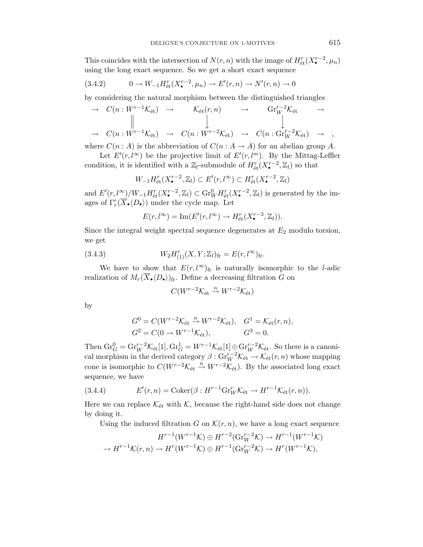This coincides with the intersection of  $N(r, n)$  with the image of  $H_{\text{\'et}}^r(X_{\bullet}^{r-2}, \mu_n)$ using the long exact sequence. So we get a short exact sequence

$$
(3.4.2) \t 0 \to W_{-1}H_{\text{\'et}}^r(X_{\bullet}^{r-2}, \mu_n) \to E'(r, n) \to N'(r, n) \to 0
$$

by considering the natural morphism between the distinguished triangles

$$
\rightarrow C(n:W^{r-1}\mathcal{K}_{\text{\'et}}) \rightarrow \mathcal{K}_{\text{\'et}}(r,n) \rightarrow \text{Gr}_{W}^{r-2}\mathcal{K}_{\text{\'et}} \rightarrow
$$
  
\n
$$
\rightarrow C(n:W^{r-1}\mathcal{K}_{\text{\'et}}) \rightarrow C(n:W^{r-2}\mathcal{K}_{\text{\'et}}) \rightarrow C(n:\text{Gr}_{W}^{r-2}\mathcal{K}_{\text{\'et}}) \rightarrow ,
$$

where  $C(n : A)$  is the abbreviation of  $C(n : A \rightarrow A)$  for an abelian group A.

Let  $E'(r, l^{\infty})$  be the projective limit of  $E'(r, l^m)$ . By the Mittag-Leffler condition, it is identified with a  $\mathbb{Z}_l$ -submodule of  $H^r_{\text{\'et}}(X^{r-2}_\bullet, \mathbb{Z}_l)$  so that

$$
W_{-1}H_{\text{\'et}}^r(X_{\bullet}^{r-2},\mathbb{Z}_l)\subset E'(r,l^{\infty})\subset H_{\text{\'et}}^r(X_{\bullet}^{r-2},\mathbb{Z}_l)
$$

and  $E'(r, l^{\infty})/W_{-1}H_{\text{\'et}}^r(X_{\bullet}^{r-2}, \mathbb{Z}_l) \subset \text{Gr}_{W}^0H_{\text{\'et}}^r(X_{\bullet}^{r-2}, \mathbb{Z}_l)$  is generated by the images of  $\Gamma'_r(\overline{X}_{\bullet} \langle D_{\bullet} \rangle)$  under the cycle map. Let

$$
E(r, l^{\infty}) = \operatorname{Im}(E'(r, l^{\infty}) \to H_{\text{\'et}}^r(X_{\bullet}^{r-3}, \mathbb{Z}_l)).
$$

Since the integral weight spectral sequence degenerates at  $E_2$  modulo torsion, we get

(3.4.3) 
$$
W_2 H_{(1)}^r(X, Y; \mathbb{Z}_l)_{\text{fr}} = E(r, l^{\infty})_{\text{fr}}.
$$

We have to show that  $E(r, l^{\infty})$ <sub>fr</sub> is naturally isomorphic to the *l*-adic realization of  $M_r(\overline{X}_{\bullet} \langle D_{\bullet} \rangle)_{\text{fr}}$ . Define a decreasing filtration G on

$$
C(W^{r-2} \mathcal{K}_{\text{\'et}} \xrightarrow{n} W^{r-2} \mathcal{K}_{\text{\'et}})
$$

by

$$
G^{0} = C(W^{r-2}K_{\text{\'et}} \stackrel{n}{\to} W^{r-2}K_{\text{\'et}}), \quad G^{1} = K_{\text{\'et}}(r, n),
$$
  

$$
G^{2} = C(0 \to W^{r-1}K_{\text{\'et}}), \qquad G^{3} = 0.
$$

Then  $\text{Gr}_{G}^{0} = \text{Gr}_{W}^{r-2} \mathcal{K}_{\text{\'et}}[1], \text{Gr}_{G}^{1} = W^{r-1} \mathcal{K}_{\text{\'et}}[1] \oplus \text{Gr}_{W}^{r-2} \mathcal{K}_{\text{\'et}}.$  So there is a canonical morphism in the derived category  $\beta$  :  $\text{Gr}_{W}^{r-2} \mathcal{K}_{\text{\'et}} \to \mathcal{K}_{\text{\'et}}(r,n)$  whose mapping cone is isomorphic to  $C(W^{r-2} \mathcal{K}_{\text{\'et}} \overset{n}{\rightarrow} W^{r-2} \mathcal{K}_{\text{\'et}})$ . By the associated long exact sequence, we have

(3.4.4) 
$$
E'(r,n) = \text{Coker}(\beta : H^{r-1} \text{Gr}_{W}^{r} \mathcal{K}_{\text{\'et}} \to H^{r-1} \mathcal{K}_{\text{\'et}}(r,n)).
$$

Here we can replace  $\mathcal{K}_{\text{\'et}}$  with  $\mathcal{K}$ , because the right-hand side does not change by doing it.

Using the induced filtration G on  $\mathcal{K}(r, n)$ , we have a long exact sequence

$$
H^{r-1}(W^{r-1}\mathcal{K}) \oplus H^{r-2}(\text{Gr}_{W}^{r-2}\mathcal{K}) \to H^{r-1}(W^{r-1}\mathcal{K})
$$
  

$$
\to H^{r-1}\mathcal{K}(r,n) \to H^{r}(W^{r-1}\mathcal{K}) \oplus H^{r-1}(\text{Gr}_{W}^{r-2}\mathcal{K}) \to H^{r}(W^{r-1}\mathcal{K}),
$$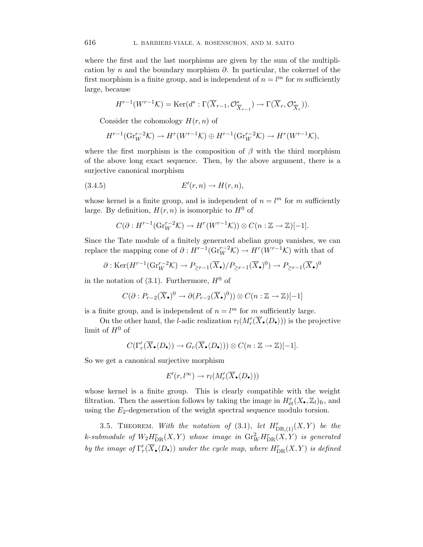where the first and the last morphisms are given by the sum of the multiplication by n and the boundary morphism  $\partial$ . In particular, the cokernel of the first morphism is a finite group, and is independent of  $n = l<sup>m</sup>$  for m sufficiently large, because

$$
H^{r-1}(W^{r-1}\mathcal{K}) = \text{Ker}(d^* : \Gamma(\overline{X}_{r-1}, \mathcal{O}_{\overline{X}_{r-1}}^*) \to \Gamma(\overline{X}_r, \mathcal{O}_{\overline{X}_r}^*) ).
$$

Consider the cohomology  $H(r, n)$  of

$$
H^{r-1}(\mathrm{Gr}_{W}^{r-2} \mathcal{K}) \to H^{r}(W^{r-1} \mathcal{K}) \oplus H^{r-1}(\mathrm{Gr}_{W}^{r-2} \mathcal{K}) \to H^{r}(W^{r-1} \mathcal{K}),
$$

where the first morphism is the composition of  $\beta$  with the third morphism of the above long exact sequence. Then, by the above argument, there is a surjective canonical morphism

$$
(3.4.5) \t\t\t E'(r,n) \to H(r,n),
$$

whose kernel is a finite group, and is independent of  $n = l<sup>m</sup>$  for m sufficiently large. By definition,  $H(r, n)$  is isomorphic to  $H^0$  of

$$
C(\partial : H^{r-1}(\mathrm{Gr}_{W}^{r-2} \mathcal{K}) \to H^{r}(W^{r-1} \mathcal{K})) \otimes C(n: \mathbb{Z} \to \mathbb{Z})[-1].
$$

Since the Tate module of a finitely generated abelian group vanishes, we can replace the mapping cone of  $\partial : H^{r-1}(\text{Gr}_{W}^{r-2} \mathcal{K}) \to H^{r}(W^{r-1} \mathcal{K})$  with that of

$$
\partial : \text{Ker}(H^{r-1}(\text{Gr}_{W}^{r-2} \mathcal{K}) \to P_{\geq r-1}(\overline{X}_{\bullet})/P_{\geq r-1}(\overline{X}_{\bullet})^{0}) \to P_{\geq r-1}(\overline{X}_{\bullet})^{0}
$$

in the notation of  $(3.1)$ . Furthermore,  $H^0$  of

$$
C(\partial : P_{r-2}(\overline{X}_{\bullet})^0 \to \partial (P_{r-2}(\overline{X}_{\bullet})^0)) \otimes C(n : \mathbb{Z} \to \mathbb{Z})[-1]
$$

is a finite group, and is independent of  $n = l^m$  for m sufficiently large.

On the other hand, the *l*-adic realization  $r_l(M'_r(\overline{X}_\bullet \langle D_\bullet \rangle))$  is the projective limit of  $H^0$  of

$$
C(\Gamma'_r(\overline{X}_{\bullet}\langle D_{\bullet}\rangle) \to G_r(\overline{X}_{\bullet}\langle D_{\bullet}\rangle)) \otimes C(n:\mathbb{Z} \to \mathbb{Z})[-1].
$$

So we get a canonical surjective morphism

$$
E'(r,l^{\infty}) \to r_l(M'_r(\overline{X}_{\bullet}\langle D_{\bullet} \rangle))
$$

whose kernel is a finite group. This is clearly compatible with the weight filtration. Then the assertion follows by taking the image in  $H_{\text{\'et}}^{r}(X_{\bullet},\mathbb{Z}_{l})_{\text{fr}},$  and using the  $E_2$ -degeneration of the weight spectral sequence modulo torsion.

3.5. THEOREM. With the notation of (3.1), let  $H_{\text{DR},(1)}^r(X,Y)$  be the k-submodule of  $W_2H^r_{\mathrm{DR}}(X,Y)$  whose image in  $\mathrm{Gr}^2_WH^r_{\mathrm{DR}}(X,Y)$  is generated by the image of  $\Gamma'_r(\overline{X}_\bullet \langle D_\bullet \rangle)$  under the cycle map, where  $H^r_{\text{DR}}(X, Y)$  is defined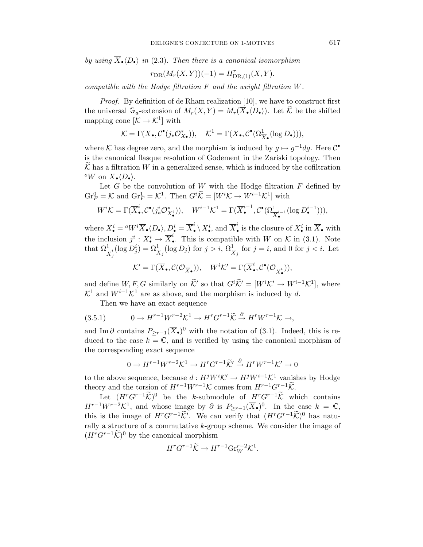by using  $X_{\bullet} \langle D_{\bullet} \rangle$  in (2.3). Then there is a canonical isomorphism

$$
r_{\text{DR}}(M_r(X, Y))(-1) = H_{\text{DR}, (1)}^r(X, Y).
$$

compatible with the Hodge filtration F and the weight filtration W.

Proof. By definition of de Rham realization [10], we have to construct first the universal  $\mathbb{G}_a$ -extension of  $M_r(X,Y) = M_r(\overline{X}_\bullet \langle D_\bullet \rangle)$ . Let K be the shifted mapping cone  $[\mathcal{K} \to \mathcal{K}^1]$  with

$$
\mathcal{K} = \Gamma(\overline{X}_{\bullet}, \mathcal{C}^{\bullet}(j_{*}\mathcal{O}_{X_{\bullet}}^{*})), \quad \mathcal{K}^{1} = \Gamma(\overline{X}_{\bullet}, \mathcal{C}^{\bullet}(\Omega_{\overline{X}_{\bullet}}^{1}(\log D_{\bullet}))),
$$

where K has degree zero, and the morphism is induced by  $g \mapsto g^{-1} dg$ . Here  $\mathcal{C}^{\bullet}$ is the canonical flasque resolution of Godement in the Zariski topology. Then  $\overline{\mathcal{K}}$  has a filtration W in a generalized sense, which is induced by the cofiltration <sup>o</sup>W on  $\overline{X}_{\bullet} \langle D_{\bullet} \rangle$ .

Let  $G$  be the convolution of  $W$  with the Hodge filtration  $F$  defined by  $\mathrm{Gr}_F^0 = \mathcal{K}$  and  $\mathrm{Gr}_F^1 = \mathcal{K}^1$ . Then  $G^i \widetilde{\mathcal{K}} = [W^i \mathcal{K} \to W^{i-1} \mathcal{K}^1]$  with

$$
W^i \mathcal{K} = \Gamma(\overline{X}_{\bullet}^i, \mathcal{C}^{\bullet}(j^i_* \mathcal{O}_{X_{\bullet}^i}^*)), \quad W^{i-1} \mathcal{K}^1 = \Gamma(\overline{X}_{\bullet}^{i-1}, \mathcal{C}^{\bullet}(\Omega_{\overline{X}_{\bullet}^{i-1}}^{1}(\log D_{\bullet}^{i-1}))),
$$

where  $X^i_\bullet = {}^oW^i\overline{X}_\bullet \langle D_\bullet \rangle, D^i_\bullet = \overline{X}^i_\bullet \setminus X^i_\bullet$ , and  $\overline{X}^i_\bullet$  is the closure of  $X^i_\bullet$  in  $\overline{X}_\bullet$  with the inclusion  $j^i : X^i_{\bullet} \to \overline{X}^i_{\bullet}$ . This is compatible with W on K in (3.1). Note that  $\Omega^1_{\overline{X}^i_j}(\log D^i_j) = \Omega^1_{\overline{X}_j}(\log D_j)$  for  $j > i$ ,  $\Omega^1_{\overline{X}_j}$  for  $j = i$ , and 0 for  $j < i$ . Let

$$
\mathcal{K}' = \Gamma(\overline{X}_{\bullet}, \mathcal{C}(\mathcal{O}_{\overline{X}_{\bullet}})), \quad W^i \mathcal{K}' = \Gamma(\overline{X}^i_{\bullet}, \mathcal{C}^{\bullet}(\mathcal{O}_{\overline{X}^i_{\bullet}})),
$$

and define  $W, F, G$  similarly on  $\tilde{\mathcal{K}}'$  so that  $G^i \tilde{\mathcal{K}}' = [W^i \mathcal{K}' \to W^{i-1} \mathcal{K}^1]$ , where  $\mathcal{K}^1$  and  $W^{i-1}\mathcal{K}^1$  are as above, and the morphism is induced by d.

Then we have an exact sequence

$$
(3.5.1) \t 0 \to H^{r-1}W^{r-2}\mathcal{K}^1 \to H^rG^{r-1}\widetilde{\mathcal{K}} \xrightarrow{\partial} H^rW^{r-1}\mathcal{K} \to,
$$

and Im ∂ contains  $P_{\geq r-1}(\overline{X}_{\bullet})^0$  with the notation of (3.1). Indeed, this is reduced to the case  $k = \mathbb{C}$ , and is verified by using the canonical morphism of the corresponding exact sequence

$$
0 \to H^{r-1}W^{r-2}\mathcal{K}^1 \to H^rG^{r-1}\widetilde{\mathcal{K}}' \xrightarrow{\partial} H^rW^{r-1}\mathcal{K}' \to 0
$$

to the above sequence, because  $d: H^j W^i \mathcal{K}' \to H^j W^{i-1} \mathcal{K}^1$  vanishes by Hodge theory and the torsion of  $H^{r-1}W^{r-1}\mathcal{K}$  comes from  $H^{r-1}G^{r-1}\widetilde{\mathcal{K}}$ .

Let  $(H^rG^{r-1}\widetilde{\mathcal{K}})^0$  be the k-submodule of  $H^rG^{r-1}\widetilde{\mathcal{K}}$  which contains  $H^{r-1}W^{r-2}\mathcal{K}^1$ , and whose image by  $\partial$  is  $P_{\geq r-1}(\overline{X}_{\bullet})^0$ . In the case  $k = \mathbb{C}$ , this is the image of  $H^rG^{r-1}\tilde{\mathcal{K}}'$ . We can verify that  $(H^rG^{r-1}\tilde{\mathcal{K}})^0$  has naturally a structure of a commutative k-group scheme. We consider the image of  $(H^rG^{r-1}\tilde{\mathcal{K}})^0$  by the canonical morphism

$$
H^r G^{r-1} \widetilde{\mathcal{K}} \to H^{r-1} \text{Gr}_W^{r-2} \mathcal{K}^1.
$$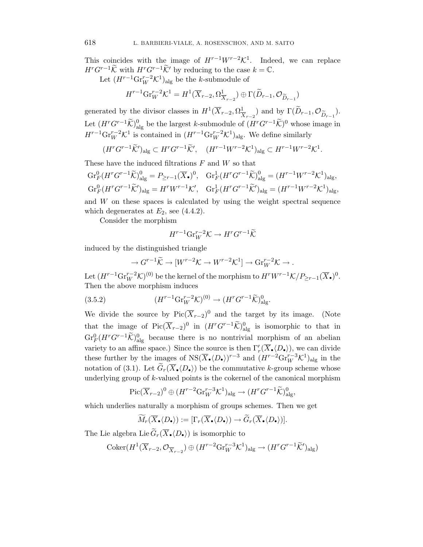This coincides with the image of  $H^{r-1}W^{r-2}\mathcal{K}^1$ . Indeed, we can replace  $H^rG^{r-1}\widetilde{\mathcal{K}}$  with  $H^rG^{r-1}\widetilde{\mathcal{K}}'$  by reducing to the case  $k=\mathbb{C}$ .

Let  $(H^{r-1}\text{Gr}_{W}^{r-2}\mathcal{K}^{1})_{\text{alg}}$  be the *k*-submodule of

$$
H^{r-1} \text{Gr}_{W}^{r-2} \mathcal{K}^1 = H^1(\overline{X}_{r-2}, \Omega^1_{\overline{X}_{r-2}}) \oplus \Gamma(\widetilde{D}_{r-1}, \mathcal{O}_{\widetilde{D}_{r-1}})
$$

generated by the divisor classes in  $H^1(\overline{X}_{r-2}, \Omega^1_{\overline{X}_{r-2}})$  and by  $\Gamma(\widetilde{D}_{r-1}, \mathcal{O}_{\widetilde{D}_{r-1}})$ . Let  $(H^rG^{r-1}\widetilde{\mathcal{K}})_{\text{alg}}^0$  be the largest k-submodule of  $(H^rG^{r-1}\widetilde{\mathcal{K}})^0$  whose image in  $H^{r-1} \text{Gr}_{W}^{r-2} \mathcal{K}^1$  is contained in  $(H^{r-1} \text{Gr}_{W}^{r-2} \mathcal{K}^1)_{\text{alg}}$ . We define similarly

$$
(H^rG^{r-1}\widetilde{\mathcal{K}}')_{\text{alg}} \subset H^rG^{r-1}\widetilde{\mathcal{K}}', \quad (H^{r-1}W^{r-2}\mathcal{K}^1)_{\text{alg}} \subset H^{r-1}W^{r-2}\mathcal{K}^1.
$$

These have the induced filtrations  $F$  and  $W$  so that

$$
\begin{aligned}\n\operatorname{Gr}_F^0 (H^r G^{r-1} \widetilde{\mathcal{K}})_{\mathrm{alg}}^0 &= P_{\geq r-1} (\overline{X}_\bullet)^0, \quad \operatorname{Gr}_F^1 (H^r G^{r-1} \widetilde{\mathcal{K}})_{\mathrm{alg}}^0 = (H^{r-1} W^{r-2} \mathcal{K}^1)_{\mathrm{alg}}, \\
\operatorname{Gr}_F^0 (H^r G^{r-1} \widetilde{\mathcal{K}}')_{\mathrm{alg}} &= H^r W^{r-1} \mathcal{K}', \quad \operatorname{Gr}_F^1 (H^r G^{r-1} \widetilde{\mathcal{K}}')_{\mathrm{alg}} = (H^{r-1} W^{r-2} \mathcal{K}^1)_{\mathrm{alg}},\n\end{aligned}
$$

and  $W$  on these spaces is calculated by using the weight spectral sequence which degenerates at  $E_2$ , see (4.4.2).

Consider the morphism

$$
H^{r-1}\mathrm{Gr}_W^{r-2}\mathcal{K} \to H^rG^{r-1}\widetilde{\mathcal{K}}
$$

induced by the distinguished triangle

$$
\to G^{r-1}\widetilde{\mathcal{K}} \to [W^{r-2}\mathcal{K} \to W^{r-2}\mathcal{K}^1] \to \text{Gr}_{W}^{r-2}\mathcal{K} \to .
$$

Let  $(H^{r-1}Gr_W^{r-2} \mathcal{K})^{(0)}$  be the kernel of the morphism to  $H^rW^{r-1} \mathcal{K}/P_{\geq r-1}(\overline{X}_{\bullet})^0$ . Then the above morphism induces

(3.5.2) 
$$
(H^{r-1} \text{Gr}_{W}^{r-2} \mathcal{K})^{(0)} \to (H^{r} G^{r-1} \widetilde{\mathcal{K}})_{\text{alg}}^{0}.
$$

We divide the source by Pic( $\overline{X}_{r-2}$ )<sup>0</sup> and the target by its image. (Note that the image of  $Pic(\overline{X}_{r-2})^0$  in  $(H^rG^{r-1}\widetilde{\mathcal{K}})_{\text{alg}}^0$  is isomorphic to that in  $\mathrm{Gr}_F^0(H^rG^{r-1}\widetilde{\mathcal{K}})_{\mathrm{alg}}^0$  because there is no nontrivial morphism of an abelian variety to an affine space.) Since the source is then  $\Gamma'_r(X_{\bullet}(D_{\bullet}))$ , we can divide these further by the images of  $NS(\overline{X}_{\bullet}\langle D_{\bullet} \rangle)^{r-3}$  and  $(H^{r-2}\text{Gr}_{W}^{r-3}\mathcal{K}^{1})_{\text{alg}}$  in the notation of (3.1). Let  $G_r(\overline{X}_{\bullet} \langle D_{\bullet} \rangle)$  be the commutative k-group scheme whose underlying group of  $k$ -valued points is the cokernel of the canonical morphism

$$
\operatorname{Pic}(\overline{X}_{r-2})^0 \oplus (H^{r-2}\mathrm{Gr}_{W}^{r-3}\mathcal{K}^1)_{\text{alg}} \to (H^{r}G^{r-1}\widetilde{\mathcal{K}})_{\text{alg}}^0,
$$

which underlies naturally a morphism of groups schemes. Then we get

$$
\widetilde{M}_r(\overline{X}_{\bullet}\langle D_{\bullet} \rangle) := [\Gamma_r(\overline{X}_{\bullet}\langle D_{\bullet} \rangle) \to \widetilde{G}_r(\overline{X}_{\bullet}\langle D_{\bullet} \rangle)].
$$

The Lie algebra Lie  $G_r(\overline{X}_{\bullet} \langle D_{\bullet} \rangle)$  is isomorphic to

$$
\mathrm{Coker}(H^1(\overline{X}_{r-2}, \mathcal{O}_{\overline{X}_{r-2}}) \oplus (H^{r-2}\mathrm{Gr}_{W}^{r-3}\mathcal{K}^1)_{\mathrm{alg}} \to (H^rG^{r-1}\widetilde{\mathcal{K}}')_{\mathrm{alg}})
$$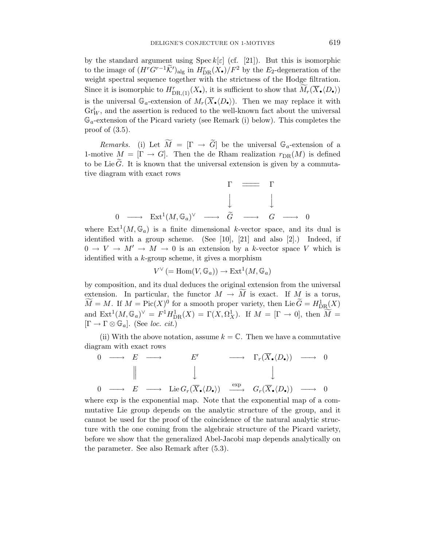by the standard argument using  $\text{Spec } k[\varepsilon]$  (cf. [21]). But this is isomorphic to the image of  $(H^r G^{r-1} \tilde{\mathcal{K}}')_{\text{alg}}$  in  $H^r_{\text{DR}}(X_{\bullet})/F^2$  by the  $E_2$ -degeneration of the weight spectral sequence together with the strictness of the Hodge filtration. Since it is isomorphic to  $H^r_{\text{DR},(1)}(X_{\bullet}),$  it is sufficient to show that  $\widetilde{M}_r(\overline{X}_{\bullet} \langle D_{\bullet} \rangle)$ is the universal  $\mathbb{G}_a$ -extension of  $M_r(\overline{X}_{\bullet}(D_{\bullet}))$ . Then we may replace it with  $\mathrm{Gr}^i_W$ , and the assertion is reduced to the well-known fact about the universal  $\mathbb{G}_a$ -extension of the Picard variety (see Remark (i) below). This completes the proof of  $(3.5)$ .

*Remarks.* (i) Let  $M = [\Gamma \rightarrow G]$  be the universal  $\mathbb{G}_a$ -extension of a 1-motive  $M = [\Gamma \rightarrow G]$ . Then the de Rham realization  $r_{DR}(M)$  is defined to be Lie  $\tilde{G}$ . It is known that the universal extension is given by a commutative diagram with exact rows

$$
\begin{array}{ccccccc}\n & & & & \Gamma & \longrightarrow & \Gamma \\
 & & & & \downarrow & & \downarrow \\
0 & \longrightarrow & \operatorname{Ext}^1(M, \mathbb{G}_a)^{\vee} & \longrightarrow & \widetilde{G} & \longrightarrow & G & \longrightarrow & 0\n\end{array}
$$

where  $Ext^1(M, \mathbb{G}_a)$  is a finite dimensional k-vector space, and its dual is identified with a group scheme. (See [10], [21] and also [2].) Indeed, if  $0 \to V \to M' \to M \to 0$  is an extension by a k-vector space V which is identified with a  $k$ -group scheme, it gives a morphism

$$
V^{\vee} := \text{Hom}(V, \mathbb{G}_a)) \to \text{Ext}^1(M, \mathbb{G}_a)
$$

by composition, and its dual deduces the original extension from the universal extension. In particular, the functor  $M \to M$  is exact. If  $M_{\sim}$  is a torus,  $\widetilde{M} = M$ . If  $M = \text{Pic}(X)^0$  for a smooth proper variety, then Lie  $\widetilde{G} = H^1_{\text{DR}}(X)$ and  $\text{Ext}^1(M,\mathbb{G}_a)^{\vee} = F^1 H^1_{\text{DR}}(X) = \Gamma(X,\Omega^1_X)$ . If  $M = [\Gamma \to 0]$ , then  $\widetilde{M} =$  $[\Gamma \to \Gamma \otimes \mathbb{G}_a]$ . (See loc. cit.)

(ii) With the above notation, assume  $k = \mathbb{C}$ . Then we have a commutative diagram with exact rows

$$
\begin{array}{ccccccccc}\n0 & \longrightarrow & E & \longrightarrow & E' & \longrightarrow & \Gamma_r(\overline{X}_{\bullet} \langle D_{\bullet} \rangle) & \longrightarrow & 0 \\
 & & \parallel & & \downarrow & & \downarrow \\
0 & \longrightarrow & E & \longrightarrow & \operatorname{Lie} G_r(\overline{X}_{\bullet} \langle D_{\bullet} \rangle) & \xrightarrow{\exp} & G_r(\overline{X}_{\bullet} \langle D_{\bullet} \rangle) & \longrightarrow & 0\n\end{array}
$$

where exp is the exponential map. Note that the exponential map of a commutative Lie group depends on the analytic structure of the group, and it cannot be used for the proof of the coincidence of the natural analytic structure with the one coming from the algebraic structure of the Picard variety, before we show that the generalized Abel-Jacobi map depends analytically on the parameter. See also Remark after (5.3).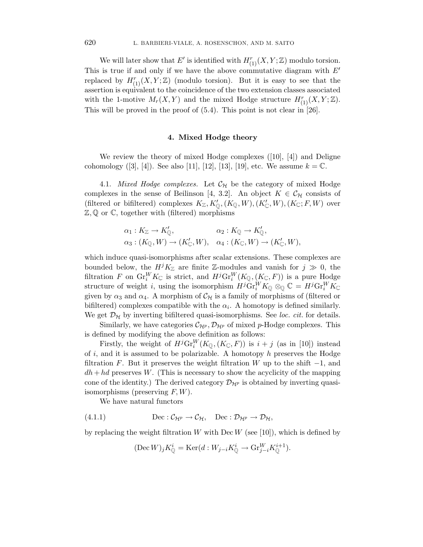We will later show that E' is identified with  $H_{(1)}^r(X, Y; \mathbb{Z})$  modulo torsion. This is true if and only if we have the above commutative diagram with  $E'$ replaced by  $H_{(1)}^{r}(X, Y; \mathbb{Z})$  (modulo torsion). But it is easy to see that the assertion is equivalent to the coincidence of the two extension classes associated with the 1-motive  $M_r(X, Y)$  and the mixed Hodge structure  $H^r_{(1)}(X, Y; \mathbb{Z})$ . This will be proved in the proof of (5.4). This point is not clear in [26].

### **4. Mixed Hodge theory**

We review the theory of mixed Hodge complexes ([10], [4]) and Deligne cohomology  $([3], [4])$ . See also [11], [12], [13], [19], etc. We assume  $k = \mathbb{C}$ .

4.1. *Mixed Hodge complexes*. Let  $\mathcal{C}_{H}$  be the category of mixed Hodge complexes in the sense of Beilinson [4, 3.2]. An object  $K \in \mathcal{C}_{\mathcal{H}}$  consists of (filtered or bifiltered) complexes  $K_{\mathbb{Z}}, K'_{\mathbb{Q}},(K_{\mathbb{Q}},W), (K'_{\mathbb{C}},W), (K_{\mathbb{C}}; F, W)$  over Z, Q or C, together with (filtered) morphisms

$$
\alpha_1: K_{\mathbb{Z}} \to K'_{\mathbb{Q}}, \qquad \alpha_2: K_{\mathbb{Q}} \to K'_{\mathbb{Q}},
$$
  

$$
\alpha_3: (K_{\mathbb{Q}}, W) \to (K'_{\mathbb{C}}, W), \quad \alpha_4: (K_{\mathbb{C}}, W) \to (K'_{\mathbb{C}}, W),
$$

which induce quasi-isomorphisms after scalar extensions. These complexes are bounded below, the  $H^{j}K_{\mathbb{Z}}$  are finite Z-modules and vanish for  $j \gg 0$ , the filtration F on  $\text{Gr}_{i}^{W} K_{\mathbb{C}}$  is strict, and  $H^{j} \text{Gr}_{i}^{W}(K_{\mathbb{Q}},(K_{\mathbb{C}},F))$  is a pure Hodge structure of weight *i*, using the isomorphism  $H^j\text{Gr}_i^W K_{\mathbb{Q}} \otimes_{\mathbb{Q}} \mathbb{C} = H^j\text{Gr}_i^W K_{\mathbb{C}}$ given by  $\alpha_3$  and  $\alpha_4$ . A morphism of  $\mathcal{C}_{\mathcal{H}}$  is a family of morphisms of (filtered or bifiltered) complexes compatible with the  $\alpha_i$ . A homotopy is defined similarly. We get  $\mathcal{D}_{\mathcal{H}}$  by inverting bifiltered quasi-isomorphisms. See loc. cit. for details.

Similarly, we have categories  $\mathcal{C}_{\mathcal{H}^p}, \mathcal{D}_{\mathcal{H}^p}$  of mixed p-Hodge complexes. This is defined by modifying the above definition as follows:

Firstly, the weight of  $H^j\mathrm{Gr}_i^W(K_{\mathbb{Q}},(K_{\mathbb{C}}, F))$  is  $i + j$  (as in [10]) instead of  $i$ , and it is assumed to be polarizable. A homotopy  $h$  preserves the Hodge filtration F. But it preserves the weight filtration W up to the shift  $-1$ , and  $dh + hd$  preserves W. (This is necessary to show the acyclicity of the mapping cone of the identity.) The derived category  $\mathcal{D}_{\mathcal{H}^p}$  is obtained by inverting quasiisomorphisms (preserving  $F, W$ ).

We have natural functors

(4.1.1) 
$$
\text{Dec}: \mathcal{C}_{\mathcal{H}^p} \to \mathcal{C}_{\mathcal{H}}, \quad \text{Dec}: \mathcal{D}_{\mathcal{H}^p} \to \mathcal{D}_{\mathcal{H}},
$$

by replacing the weight filtration W with  $\text{Dec }W$  (see [10]), which is defined by

$$
(\text{Dec } W)_j K^i_{\mathbb{Q}} = \text{Ker}(d: W_{j-i} K^i_{\mathbb{Q}} \to \text{Gr}_{j-i}^W K^{i+1}_{\mathbb{Q}}).
$$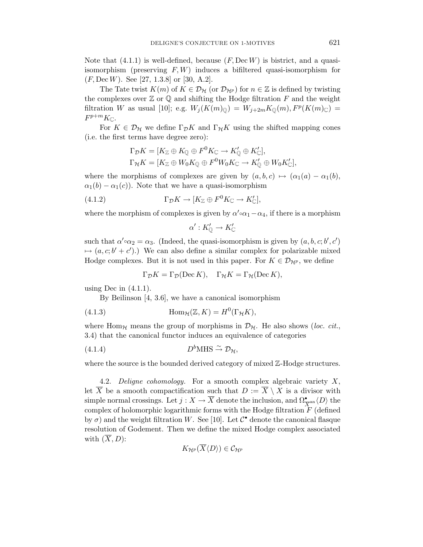Note that  $(4.1.1)$  is well-defined, because  $(F, \text{Dec }W)$  is bistrict, and a quasiisomorphism (preserving  $F, W$ ) induces a bifiltered quasi-isomorphism for  $(F, \text{Dec }W)$ . See [27, 1.3.8] or [30, A.2].

The Tate twist  $K(m)$  of  $K \in \mathcal{D}_{\mathcal{H}}$  (or  $\mathcal{D}_{\mathcal{H}^p}$ ) for  $n \in \mathbb{Z}$  is defined by twisting the complexes over  $\mathbb Z$  or  $\mathbb Q$  and shifting the Hodge filtration  $F$  and the weight filtration W as usual [10]; e.g.  $W_j(K(m)_{\mathbb{Q}}) = W_{j+2m}K_{\mathbb{Q}}(m), F^p(K(m)_{\mathbb{C}}) =$  $F^{p+m}K_{\mathbb{C}}$ .

For  $K \in \mathcal{D}_{\mathcal{H}}$  we define  $\Gamma_{\mathcal{D}} K$  and  $\Gamma_{\mathcal{H}} K$  using the shifted mapping cones (i.e. the first terms have degree zero):

$$
\Gamma_{\mathcal{D}}K = [K_{\mathbb{Z}} \oplus K_{\mathbb{Q}} \oplus F^0 K_{\mathbb{C}} \to K'_{\mathbb{Q}} \oplus K'_{\mathbb{C}}],
$$
  
\n
$$
\Gamma_{\mathcal{H}}K = [K_{\mathbb{Z}} \oplus W_0 K_{\mathbb{Q}} \oplus F^0 W_0 K_{\mathbb{C}} \to K'_{\mathbb{Q}} \oplus W_0 K'_{\mathbb{C}}],
$$

where the morphisms of complexes are given by  $(a, b, c) \mapsto (\alpha_1(a) - \alpha_1(b))$ ,  $\alpha_1(b) - \alpha_1(c)$ . Note that we have a quasi-isomorphism

(4.1.2) 
$$
\Gamma_{\mathcal{D}}K \to [K_{\mathbb{Z}} \oplus F^0K_{\mathbb{C}} \to K'_{\mathbb{C}}],
$$

where the morphism of complexes is given by  $\alpha' \circ \alpha_1 - \alpha_4$ , if there is a morphism

$$
\alpha': K'_{\mathbb{Q}} \to K'_{\mathbb{C}}
$$

such that  $\alpha' \circ \alpha_2 = \alpha_3$ . (Indeed, the quasi-isomorphism is given by  $(a, b, c; b', c')$  $\mapsto$   $(a, c; b' + c')$ .) We can also define a similar complex for polarizable mixed Hodge complexes. But it is not used in this paper. For  $K \in \mathcal{D}_{\mathcal{H}^p}$ , we define

$$
\Gamma_{\mathcal{D}}K = \Gamma_{\mathcal{D}}(\text{Dec } K), \quad \Gamma_{\mathcal{H}}K = \Gamma_{\mathcal{H}}(\text{Dec } K),
$$

using Dec in  $(4.1.1)$ .

By Beilinson [4, 3.6], we have a canonical isomorphism

(4.1.3) 
$$
\text{Hom}_{\mathcal{H}}(\mathbb{Z}, K) = H^0(\Gamma_{\mathcal{H}}K),
$$

where Hom<sub>H</sub> means the group of morphisms in  $\mathcal{D}_{\mathcal{H}}$ . He also shows (loc. cit., 3.4) that the canonical functor induces an equivalence of categories

(4.1.4) 
$$
D^b\text{MHS} \xrightarrow{\sim} \mathcal{D}_{\mathcal{H}},
$$

where the source is the bounded derived category of mixed Z-Hodge structures.

4.2. Deligne cohomology. For a smooth complex algebraic variety  $X$ , let  $\overline{X}$  be a smooth compactification such that  $D := \overline{X} \setminus X$  is a divisor with simple normal crossings. Let  $j: X \to \overline{X}$  denote the inclusion, and  $\Omega_{\overline{X}^{\text{an}}}\langle D \rangle$  the complex of holomorphic logarithmic forms with the Hodge filtration  $\hat{F}$  (defined by  $\sigma$ ) and the weight filtration W. See [10]. Let  $\mathcal{C}^{\bullet}$  denote the canonical flasque resolution of Godement. Then we define the mixed Hodge complex associated with  $(\overline{X}, D)$ :

$$
K_{\mathcal{H}^p}(\overline{X}\langle D\rangle)\in\mathcal{C}_{\mathcal{H}^p}
$$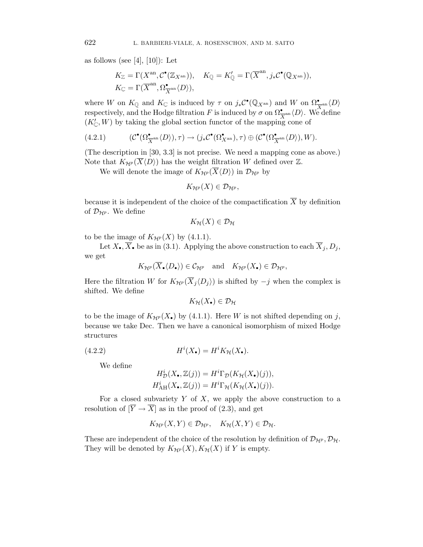as follows (see [4], [10]): Let

$$
K_{\mathbb{Z}} = \Gamma(X^{\mathrm{an}}, \mathcal{C}^{\bullet}(\mathbb{Z}_{X^{\mathrm{an}}})), \quad K_{\mathbb{Q}} = K'_{\mathbb{Q}} = \Gamma(\overline{X}^{\mathrm{an}}, j_{*}\mathcal{C}^{\bullet}(\mathbb{Q}_{X^{\mathrm{an}}})), K_{\mathbb{C}} = \Gamma(\overline{X}^{\mathrm{an}}, \Omega^{\bullet}_{\overline{X}^{\mathrm{an}}}\langle D \rangle),
$$

where W on  $K_{\mathbb{Q}}$  and  $K_{\mathbb{C}}$  is induced by  $\tau$  on  $j_*\mathcal{C}^{\bullet}(\mathbb{Q}_{X^{\mathrm{an}}})$  and  $W$  on  $\Omega^{\bullet}_{\overline{X}^{\mathrm{an}}}(D)$ respectively, and the Hodge filtration F is induced by  $\sigma$  on  $\Omega_{\overline{X}^{\text{an}}}\langle D \rangle$ . We define  $(K'_{\mathbb{C}}, W)$  by taking the global section functor of the mapping cone of

(4.2.1) 
$$
(\mathcal{C}^{\bullet}(\Omega^{\bullet}_{\overline{X}^{\mathrm{an}}}\langle D\rangle), \tau) \to (j_*\mathcal{C}^{\bullet}(\Omega^{\bullet}_{X^{\mathrm{an}}}), \tau) \oplus (\mathcal{C}^{\bullet}(\Omega^{\bullet}_{\overline{X}^{\mathrm{an}}}\langle D\rangle), W).
$$

(The description in [30, 3.3] is not precise. We need a mapping cone as above.) Note that  $K_{\mathcal{H}^p}(\overline{X}\langle D \rangle)$  has the weight filtration W defined over  $\mathbb{Z}$ .

We will denote the image of  $K_{\mathcal{H}^p}(\overline{X}\langle D\rangle)$  in  $\mathcal{D}_{\mathcal{H}^p}$  by

$$
K_{\mathcal{H}^p}(X)\in\mathcal{D}_{\mathcal{H}^p},
$$

because it is independent of the choice of the compactification  $\overline{X}$  by definition of  $\mathcal{D}_{\mathcal{H}^p}$ . We define

$$
K_{\mathcal{H}}(X)\in\mathcal{D}_{\mathcal{H}}
$$

to be the image of  $K_{\mathcal{H}^p}(X)$  by (4.1.1).

Let  $X_{\bullet}, \overline{X}_{\bullet}$  be as in (3.1). Applying the above construction to each  $\overline{X}_j, D_j$ , we get

$$
K_{\mathcal{H}^p}(\overline{X}_{\bullet} \langle D_{\bullet} \rangle) \in \mathcal{C}_{\mathcal{H}^p}
$$
 and  $K_{\mathcal{H}^p}(X_{\bullet}) \in \mathcal{D}_{\mathcal{H}^p}$ ,

Here the filtration W for  $K_{\mathcal{H}^p}(\overline{X}_j \langle D_j \rangle)$  is shifted by  $-j$  when the complex is shifted. We define

$$
K_{\mathcal{H}}(X_{\bullet}) \in \mathcal{D}_{\mathcal{H}}
$$

to be the image of  $K_{\mathcal{H}^p}(X_{\bullet})$  by (4.1.1). Here W is not shifted depending on j, because we take Dec. Then we have a canonical isomorphism of mixed Hodge structures

(4.2.2) 
$$
H^{i}(X_{\bullet}) = H^{i}K_{\mathcal{H}}(X_{\bullet}).
$$

We define

$$
H^i_{\mathcal{D}}(X_{\bullet}, \mathbb{Z}(j)) = H^i \Gamma_{\mathcal{D}}(K_{\mathcal{H}}(X_{\bullet})(j)),
$$
  

$$
H^i_{\text{AH}}(X_{\bullet}, \mathbb{Z}(j)) = H^i \Gamma_{\mathcal{H}}(K_{\mathcal{H}}(X_{\bullet})(j)).
$$

For a closed subvariety  $Y$  of  $X$ , we apply the above construction to a resolution of  $[\overline{Y} \to \overline{X}]$  as in the proof of (2.3), and get

$$
K_{\mathcal{H}^p}(X,Y)\in\mathcal{D}_{\mathcal{H}^p},\quad K_{\mathcal{H}}(X,Y)\in\mathcal{D}_{\mathcal{H}}.
$$

These are independent of the choice of the resolution by definition of  $\mathcal{D}_{\mathcal{H}^p}, \mathcal{D}_{\mathcal{H}}$ . They will be denoted by  $K_{\mathcal{H}^p}(X), K_{\mathcal{H}}(X)$  if Y is empty.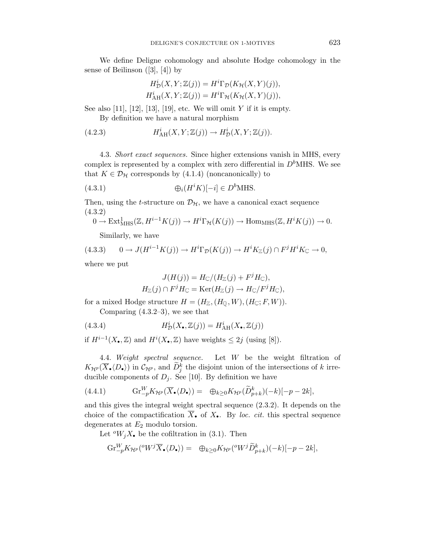We define Deligne cohomology and absolute Hodge cohomology in the sense of Beilinson  $([3], [4])$  by

$$
H^i_{\mathcal{D}}(X, Y; \mathbb{Z}(j)) = H^i \Gamma_{\mathcal{D}}(K_{\mathcal{H}}(X, Y)(j)),
$$
  

$$
H^i_{\rm AH}(X, Y; \mathbb{Z}(j)) = H^i \Gamma_{\mathcal{H}}(K_{\mathcal{H}}(X, Y)(j)),
$$

See also  $[11]$ ,  $[12]$ ,  $[13]$ ,  $[19]$ , etc. We will omit Y if it is empty. By definition we have a natural morphism

(4.2.3) 
$$
H^i_{\text{AH}}(X,Y;\mathbb{Z}(j)) \to H^i_{\mathcal{D}}(X,Y;\mathbb{Z}(j)).
$$

4.3. Short exact sequences. Since higher extensions vanish in MHS, every complex is represented by a complex with zero differential in  $D<sup>b</sup>$ MHS. We see that  $K \in \mathcal{D}_{\mathcal{H}}$  corresponds by (4.1.4) (noncanonically) to

(4.3.1) 
$$
\bigoplus_i (H^i K)[-i] \in D^b \text{MHS}.
$$

Then, using the *t*-structure on  $\mathcal{D}_{H}$ , we have a canonical exact sequence (4.3.2)

$$
0 \to \text{Ext}^1_{\text{MHS}}(\mathbb{Z}, H^{i-1}K(j)) \to H^i\Gamma_{\mathcal{H}}(K(j)) \to \text{Hom}_{\text{MHS}}(\mathbb{Z}, H^iK(j)) \to 0.
$$

Similarly, we have

(4.3.3) 
$$
0 \to J(H^{i-1}K(j)) \to H^i\Gamma_{\mathcal{D}}(K(j)) \to H^iK_{\mathbb{Z}}(j) \cap F^jH^iK_{\mathbb{C}} \to 0,
$$

where we put

$$
J(H(j)) = H_{\mathbb{C}}/(H_{\mathbb{Z}}(j) + F^{j}H_{\mathbb{C}}),
$$
  

$$
H_{\mathbb{Z}}(j) \cap F^{j}H_{\mathbb{C}} = \text{Ker}(H_{\mathbb{Z}}(j) \to H_{\mathbb{C}}/F^{j}H_{\mathbb{C}}),
$$

for a mixed Hodge structure  $H = (H_{\mathbb{Z}},(H_{\mathbb{Q}},W),(H_{\mathbb{C}};F,W)).$ 

Comparing  $(4.3.2-3)$ , we see that

(4.3.4) 
$$
H^i_{\mathcal{D}}(X_\bullet, \mathbb{Z}(j)) = H^i_{\rm AH}(X_\bullet, \mathbb{Z}(j))
$$

if  $H^{i-1}(X_{\bullet},\mathbb{Z})$  and  $H^{i}(X_{\bullet},\mathbb{Z})$  have weights  $\leq 2j$  (using [8]).

4.4. Weight spectral sequence. Let W be the weight filtration of  $K_{\mathcal{H}^p}(\overline{X}_{\bullet}\langle D_{\bullet}\rangle)$  in  $\mathcal{C}_{\mathcal{H}^p}$ , and  $\widetilde{D}_j^k$  the disjoint union of the intersections of k irreducible components of  $D_j$ . See [10]. By definition we have

(4.4.1) 
$$
\mathrm{Gr}_{-p}^W K_{\mathcal{H}^p}(\overline{X}_{\bullet} \langle D_{\bullet} \rangle) = \oplus_{k \geq 0} K_{\mathcal{H}^p}(\widetilde{D}_{p+k}^k)(-k)[-p-2k],
$$

and this gives the integral weight spectral sequence (2.3.2). It depends on the choice of the compactification  $\overline{X}_{\bullet}$  of  $X_{\bullet}$ . By loc. cit. this spectral sequence degenerates at  $E_2$  modulo torsion.

Let  $^{o}W_jX_{\bullet}$  be the cofiltration in (3.1). Then

$$
\mathrm{Gr}_{-p}^W K_{\mathcal{H}^p}({}^o W^j \overline{X}_{\bullet} \langle D_{\bullet} \rangle) = \oplus_{k \geq 0} K_{\mathcal{H}^p}({}^o W^j \widetilde{D}_{p+k}^k)(-k)[-p-2k],
$$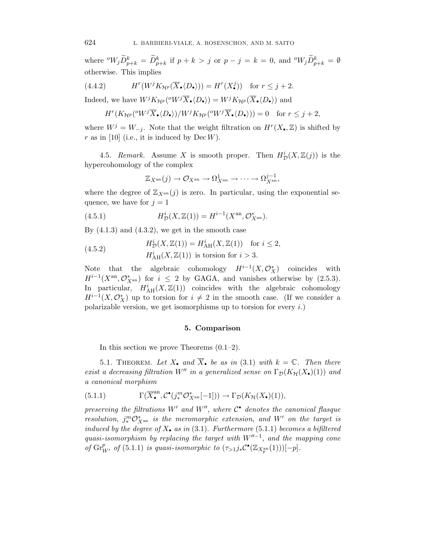where  ${}^oW_j\widetilde{D}_{p+k}^k = \widetilde{D}_{p+k}^k$  if  $p+k > j$  or  $p-j = k = 0$ , and  ${}^oW_j\widetilde{D}_{p+k}^k = \emptyset$ otherwise. This implies

(4.4.2) 
$$
H^r(W^j K_{\mathcal{H}^p}(\overline{X}_{\bullet} \langle D_{\bullet} \rangle)) = H^r(X_{\bullet}^j)) \text{ for } r \leq j+2.
$$

Indeed, we have  $W^j K_{\mathcal{H}^p}(^{\circ} W^j \overline{X}_{\bullet} \langle D_{\bullet} \rangle) = W^j K_{\mathcal{H}^p} (\overline{X}_{\bullet} \langle D_{\bullet} \rangle)$  and

$$
H^r(K_{\mathcal{H}^p}({}^oW^j\overline{X}_{\bullet}\langle D_{\bullet}\rangle)/W^jK_{\mathcal{H}^p}({}^oW^j\overline{X}_{\bullet}\langle D_{\bullet}\rangle))=0 \text{ for } r\leq j+2,
$$

where  $W^j = W_{-j}$ . Note that the weight filtration on  $H^r(X_{\bullet},\mathbb{Z})$  is shifted by r as in [10] (i.e., it is induced by  $Dec W$ ).

4.5. Remark. Assume X is smooth proper. Then  $H^i_{\mathcal{D}}(X,\mathbb{Z}(j))$  is the hypercohomology of the complex

$$
\mathbb{Z}_{X^{\mathrm{an}}}(j) \to \mathcal{O}_{X^{\mathrm{an}}} \to \Omega_{X^{\mathrm{an}}}^1 \to \cdots \to \Omega_{X^{\mathrm{an}}}^{j-1},
$$

where the degree of  $\mathbb{Z}_{X^{an}}(j)$  is zero. In particular, using the exponential sequence, we have for  $j = 1$ 

(4.5.1) 
$$
H^i_{\mathcal{D}}(X,\mathbb{Z}(1)) = H^{i-1}(X^{\text{an}}, \mathcal{O}_{X^{\text{an}}}^*).
$$

By  $(4.1.3)$  and  $(4.3.2)$ , we get in the smooth case

(4.5.2) 
$$
H^i_{\mathcal{D}}(X, \mathbb{Z}(1)) = H^i_{\text{AH}}(X, \mathbb{Z}(1)) \text{ for } i \leq 2,
$$

$$
H^i_{\text{AH}}(X, \mathbb{Z}(1)) \text{ is torsion for } i > 3.
$$

Note that the algebraic cohomology  $H^{i-1}(X, \mathcal{O}_X^*)$  coincides with  $H^{i-1}(X^{\text{an}}, \mathcal{O}_{X^{\text{an}}}^*)$  for  $i \leq 2$  by GAGA, and vanishes otherwise by  $(2.5.3)$ . In particular,  $H<sub>AH</sub><sup>i</sup>(X, Z(1))$  coincides with the algebraic cohomology  $H^{i-1}(X,\mathcal{O}_X^*)$  up to torsion for  $i \neq 2$  in the smooth case. (If we consider a polarizable version, we get isomorphisms up to torsion for every  $i$ .)

#### **5. Comparison**

In this section we prove Theorems (0.1–2).

5.1. THEOREM. Let  $X_{\bullet}$  and  $\overline{X}_{\bullet}$  be as in (3.1) with  $k = \mathbb{C}$ . Then there exist a decreasing filtration W" in a generalized sense on  $\Gamma_{\mathcal{D}}(K_{\mathcal{H}}(X_{\bullet})(1))$  and a canonical morphism

(5.1.1) 
$$
\Gamma(\overline{X}_{\bullet}^{\text{an}}, \mathcal{C}^{\bullet}(j_{*}^{m}\mathcal{O}_{X^{\text{an}}}^{*}[-1])) \to \Gamma_{\mathcal{D}}(K_{\mathcal{H}}(X_{\bullet})(1)),
$$

preserving the filtrations W' and W", where  $C^{\bullet}$  denotes the canonical flasque resolution,  $j^m_* \mathcal{O}_{X^{\text{an}}}^*$  is the meromorphic extension, and W' on the target is induced by the degree of  $X_{\bullet}$  as in (3.1). Furthermore (5.1.1) becomes a bifiltered quasi-isomorphism by replacing the target with  $W''^{-1}$ , and the mapping cone of  $\mathrm{Gr}_{W'}^p$  of (5.1.1) is quasi-isomorphic to  $(\tau_{>1}j_*\mathcal{C}^{\bullet}(\mathbb{Z}_{X_p^{\mathrm{an}}}(1)))[-p]$ .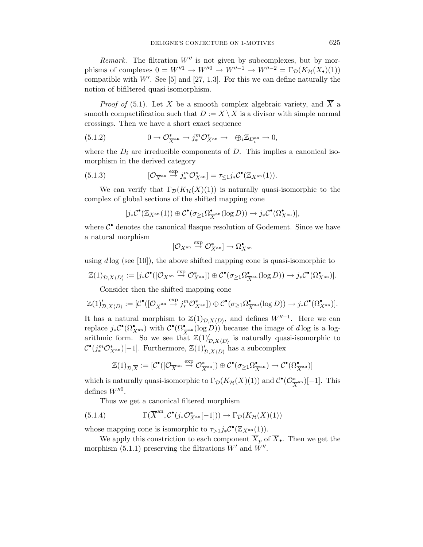Remark. The filtration  $W''$  is not given by subcomplexes, but by morphisms of complexes  $0 = W''^1 \to W''^0 \to W''^{-1} \to W''^{-2} = \Gamma_{\mathcal{D}}(K_{\mathcal{H}}(X_{\bullet})(1))$ compatible with  $W'$ . See [5] and [27, 1.3]. For this we can define naturally the notion of bifiltered quasi-isomorphism.

*Proof of* (5.1). Let X be a smooth complex algebraic variety, and  $\overline{X}$  a smooth compactification such that  $D := \overline{X} \setminus X$  is a divisor with simple normal crossings. Then we have a short exact sequence

(5.1.2) 
$$
0 \to \mathcal{O}_{X^{\text{an}}}^* \to j^m_* \mathcal{O}_{X^{\text{an}}}^* \to \oplus_i \mathbb{Z}_{D_i^{\text{an}}} \to 0,
$$

where the  $D_i$  are irreducible components of  $D$ . This implies a canonical isomorphism in the derived category

(5.1.3) 
$$
[\mathcal{O}_{\overline{X}^{\text{an}}}\overset{\text{exp}}{\rightarrow} j^m_* \mathcal{O}_{X^{\text{an}}}^*] = \tau_{\leq 1} j_* \mathcal{C}^{\bullet}(\mathbb{Z}_{X^{\text{an}}}(1)).
$$

We can verify that  $\Gamma_{\mathcal{D}}(K_{\mathcal{H}}(X)(1))$  is naturally quasi-isomorphic to the complex of global sections of the shifted mapping cone

$$
[j_*\mathcal{C}^{\bullet}(\mathbb{Z}_{X^{\mathrm{an}}}(1))\oplus \mathcal{C}^{\bullet}(\sigma_{\geq 1}\Omega^{\bullet}_{\overline{X}^{\mathrm{an}}}(\log D))\to j_*\mathcal{C}^{\bullet}(\Omega^{\bullet}_{X^{\mathrm{an}}})],
$$

where  $\mathcal{C}^{\bullet}$  denotes the canonical flasque resolution of Godement. Since we have a natural morphism

$$
[{\mathcal O}_{X^{\rm an}} \stackrel{\exp}{\to} {\mathcal O}_{X^{\rm an}}^*] \to \Omega_{X^{\rm an}}^{\bullet}
$$

using  $d \log (\text{see } [10])$ , the above shifted mapping cone is quasi-isomorphic to

$$
\mathbb{Z}(1)_{\mathcal{D},X\langle D\rangle}:= [j_*\mathcal{C}^\bullet([\mathcal{O}_{X^{\mathrm{an}}}\stackrel{\mathrm{exp}}{\to}\mathcal{O}_{X^{\mathrm{an}}}^*) )\oplus \mathcal{C}^\bullet(\sigma_{\geq 1}\Omega^{\bullet}_{\overline{X}^{\mathrm{an}}}(\log D))\to j_*\mathcal{C}^\bullet(\Omega^{\bullet}_{X^{\mathrm{an}}})].
$$

Consider then the shifted mapping cone

$$
\mathbb{Z}(1)'_{\mathcal{D},X\langle D\rangle}:= [\mathcal{C}^{\bullet}([\mathcal{O}_{\overline{X}^{\rm an}}\stackrel{\exp}{\to} j^m_*\mathcal{O}^*_{X^{\rm an}}])\oplus \mathcal{C}^{\bullet}(\sigma_{\geq 1}\Omega^\bullet_{\overline{X}^{\rm an}}(\log D))\to j_*\mathcal{C}^{\bullet}(\Omega^\bullet_{X^{\rm an}})].
$$

It has a natural morphism to  $\mathbb{Z}(1)_{\mathcal{D},X\langle D\rangle}$ , and defines  $W''^{-1}$ . Here we can replace  $j_*\mathcal{C}^{\bullet}(\Omega^{\bullet}_{X^{\rm an}})$  with  $\mathcal{C}^{\bullet}(\Omega^{\bullet}_{X^{\rm an}}(\log D))$  because the image of d log is a logarithmic form. So we see that  $\mathbb{Z}(1)'_{\mathcal{D},X\langle D\rangle}$  is naturally quasi-isomorphic to  $\mathcal{C}^{\bullet}(j_{*}^{m}\mathcal{O}_{X^{\mathrm{an}}}^{*})[-1]$ . Furthermore,  $\mathbb{Z}(1)'_{\mathcal{D},X\langle D\rangle}$  has a subcomplex

$$
\mathbb{Z}(1)_{\mathcal{D},\overline{X}}:=[\mathcal{C}^{\bullet}([\mathcal{O}_{\overline{X}^{\mathrm{an}}}\stackrel{\mathrm{exp}}{\to}\mathcal{O}_{\overline{X}^{\mathrm{an}}}^{\ast}])\oplus\mathcal{C}^{\bullet}(\sigma_{\geq 1}\Omega_{\overline{X}^{\mathrm{an}}}^{\bullet})\to\mathcal{C}^{\bullet}(\Omega_{\overline{X}^{\mathrm{an}}}^{\bullet})]
$$

which is naturally quasi-isomorphic to  $\Gamma_{\mathcal{D}}(K_{\mathcal{H}}(\overline{X})(1))$  and  $\mathcal{C}^{\bullet}(\mathcal{O}_{\overline{X}^{\rm an}}^{\ast})[-1]$ . This defines  $W'''^0$ .

Thus we get a canonical filtered morphism

(5.1.4) 
$$
\Gamma(\overline{X}^{\text{an}}, \mathcal{C}^{\bullet}(j_*\mathcal{O}_{X^{\text{an}}}^*[-1])) \to \Gamma_{\mathcal{D}}(K_{\mathcal{H}}(X)(1))
$$

whose mapping cone is isomorphic to  $\tau_{>1} j_* \mathcal{C}^{\bullet}(\mathbb{Z}_{X^{\text{an}}}(1)).$ 

We apply this constriction to each component  $\overline{X}_p$  of  $\overline{X}_\bullet$ . Then we get the morphism  $(5.1.1)$  preserving the filtrations  $W'$  and  $W''$ .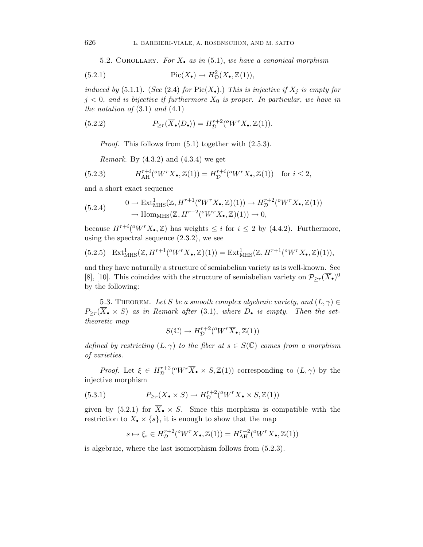5.2. COROLLARY. For  $X_{\bullet}$  as in (5.1), we have a canonical morphism

(5.2.1) 
$$
\operatorname{Pic}(X_{\bullet}) \to H^2_{\mathcal{D}}(X_{\bullet}, \mathbb{Z}(1)),
$$

induced by (5.1.1). (See (2.4) for  $Pic(X_{\bullet})$ .) This is injective if  $X_j$  is empty for  $j < 0$ , and is bijective if furthermore  $X_0$  is proper. In particular, we have in the notation of  $(3.1)$  and  $(4.1)$ 

(5.2.2) 
$$
P_{\geq r}(\overline{X}_{\bullet} \langle D_{\bullet} \rangle) = H_{\mathcal{D}}^{r+2}({}^{\circ}W^{r}X_{\bullet}, \mathbb{Z}(1)).
$$

Proof. This follows from (5.1) together with (2.5.3).

*Remark.* By  $(4.3.2)$  and  $(4.3.4)$  we get

(5.2.3) 
$$
H_{\text{AH}}^{r+i}({}^oW^r\overline{X}_{\bullet},\mathbb{Z}(1))=H_{\mathcal{D}}^{r+i}({}^oW^rX_{\bullet},\mathbb{Z}(1)) \text{ for } i\leq 2,
$$

and a short exact sequence

$$
(5.2.4) \qquad \begin{aligned} 0 &\to \text{Ext}^1_{\text{MHS}}(\mathbb{Z}, H^{r+1}({}^oW^rX_\bullet, \mathbb{Z})(1)) \to H^{r+2}_\mathcal{D}({}^oW^rX_\bullet, \mathbb{Z}(1)) \\ &\to \text{Hom}_{\text{MHS}}(\mathbb{Z}, H^{r+2}({}^oW^rX_\bullet, \mathbb{Z})(1)) \to 0, \end{aligned}
$$

because  $H^{r+i}({}^\text{o}W^rX_\bullet,\mathbb{Z})$  has weights  $\leq i$  for  $i \leq 2$  by (4.4.2). Furthermore, using the spectral sequence  $(2.3.2)$ , we see

$$
(5.2.5) \quad \operatorname{Ext}^1_{\operatorname{MHS}}(\mathbb{Z}, H^{r+1}({}^oW^r\overline{X}_{\bullet}, \mathbb{Z})(1)) = \operatorname{Ext}^1_{\operatorname{MHS}}(\mathbb{Z}, H^{r+1}({}^oW^rX_{\bullet}, \mathbb{Z})(1)),
$$

and they have naturally a structure of semiabelian variety as is well-known. See [8], [10]. This coincides with the structure of semiabelian variety on  $\mathcal{P}_{\geq r}(\overline{X}_{\bullet})^0$ by the following:

5.3. THEOREM. Let S be a smooth complex algebraic variety, and  $(L, \gamma) \in$  $P_{\geq r}(\overline{X}_{\bullet} \times S)$  as in Remark after (3.1), where  $D_{\bullet}$  is empty. Then the settheoretic map

$$
S(\mathbb{C}) \to H^{r+2}_\mathcal{D}(^0W^r\overline{X}_\bullet, \mathbb{Z}(1))
$$

defined by restricting  $(L, \gamma)$  to the fiber at  $s \in S(\mathbb{C})$  comes from a morphism of varieties.

*Proof.* Let  $\xi \in H^{r+2}_\mathcal{D}(^{\text{ov}}\overline{X}_\bullet \times S,\mathbb{Z}(1))$  corresponding to  $(L,\gamma)$  by the injective morphism

(5.3.1) 
$$
P_{\geq r}(\overline{X}_{\bullet} \times S) \to H_{\mathcal{D}}^{r+2}({}^{\circ}W^{r}\overline{X}_{\bullet} \times S, \mathbb{Z}(1))
$$

given by (5.2.1) for  $\overline{X}_{\bullet} \times S$ . Since this morphism is compatible with the restriction to  $X_{\bullet} \times \{s\}$ , it is enough to show that the map

$$
s \mapsto \xi_s \in H^{r+2}_\mathcal{D}(^\circ W^r \overline{X}_\bullet, \mathbb{Z}(1)) = H^{r+2}_{\text{AH}}(^\circ W^r \overline{X}_\bullet, \mathbb{Z}(1))
$$

is algebraic, where the last isomorphism follows from (5.2.3).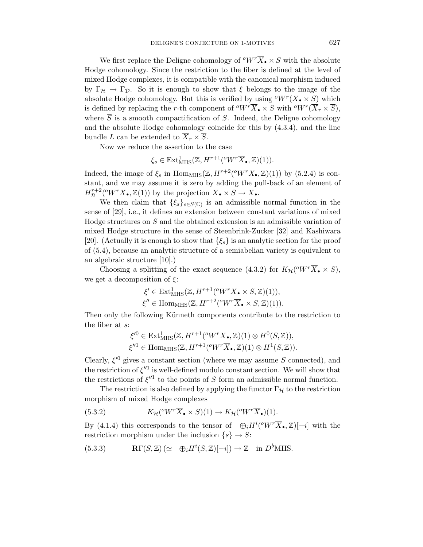We first replace the Deligne cohomology of  $\sqrt[\alpha]{W} \cdot \overline{X}_{\bullet} \times S$  with the absolute Hodge cohomology. Since the restriction to the fiber is defined at the level of mixed Hodge complexes, it is compatible with the canonical morphism induced by  $\Gamma_H \to \Gamma_D$ . So it is enough to show that  $\xi$  belongs to the image of the absolute Hodge cohomology. But this is verified by using  $^oW^r(\overline{X}_{\bullet} \times S)$  which is defined by replacing the r-th component of  $\sqrt[\alpha]{W} \cdot \overline{X}_\bullet \times S$  with  $\sqrt[\alpha]{W} \cdot (\overline{X}_r \times \overline{S})$ , where  $\overline{S}$  is a smooth compactification of S. Indeed, the Deligne cohomology and the absolute Hodge cohomology coincide for this by (4.3.4), and the line bundle L can be extended to  $\overline{X}_r \times \overline{S}$ .

Now we reduce the assertion to the case

$$
\xi_s \in \text{Ext}^1_{\text{MHS}}(\mathbb{Z}, H^{r+1}(^o W^r \overline{X}_\bullet, \mathbb{Z})(1)).
$$

Indeed, the image of  $\xi_s$  in Hom<sub>MHS</sub>( $\mathbb{Z}, H^{r+2}({}^\text{o}W^rX_\bullet,\mathbb{Z})(1)$ ) by (5.2.4) is constant, and we may assume it is zero by adding the pull-back of an element of  $H^{r+2}_\mathcal{D}({}^oW^r\overline{X}_\bullet,\mathbb{Z}(1))$  by the projection  $\overline{X}_\bullet\times S\to\overline{X}_\bullet$ .

We then claim that  $\{\xi_s\}_{s\in S(\mathbb{C})}$  is an admissible normal function in the sense of [29], i.e., it defines an extension between constant variations of mixed Hodge structures on S and the obtained extension is an admissible variation of mixed Hodge structure in the sense of Steenbrink-Zucker [32] and Kashiwara [20]. (Actually it is enough to show that  $\{\xi_s\}$  is an analytic section for the proof of (5.4), because an analytic structure of a semiabelian variety is equivalent to an algebraic structure [10].)

Choosing a splitting of the exact sequence (4.3.2) for  $K_{\mathcal{H}}(^{o}W^{r}\overline{X}_{\bullet} \times S)$ , we get a decomposition of  $\xi$ :

$$
\xi' \in \text{Ext}^1_{\text{MHS}}(\mathbb{Z}, H^{r+1}({}^{\text{o}}W^r\overline{X}_{\bullet} \times S, \mathbb{Z})(1)),
$$
  

$$
\xi'' \in \text{Hom}_{\text{MHS}}(\mathbb{Z}, H^{r+2}({}^{\text{o}}W^r\overline{X}_{\bullet} \times S, \mathbb{Z})(1)).
$$

Then only the following Künneth components contribute to the restriction to the fiber at s:

$$
\xi^{\prime 0} \in \text{Ext}^{1}_{\text{MHS}}(\mathbb{Z}, H^{r+1}({}^{\text{o}}W^{r}\overline{X}_{\bullet}, \mathbb{Z})(1) \otimes H^{0}(S, \mathbb{Z})),
$$
  

$$
\xi^{\prime\prime 1} \in \text{Hom}_{\text{MHS}}(\mathbb{Z}, H^{r+1}({}^{\text{o}}W^{r}\overline{X}_{\bullet}, \mathbb{Z})(1) \otimes H^{1}(S, \mathbb{Z})).
$$

Clearly,  $\xi^0$  gives a constant section (where we may assume S connected), and the restriction of  $\xi''$ <sup>1</sup> is well-defined modulo constant section. We will show that the restrictions of  $\xi''$ <sup>1</sup> to the points of S form an admissible normal function.

The restriction is also defined by applying the functor  $\Gamma_{\mathcal{H}}$  to the restriction morphism of mixed Hodge complexes

(5.3.2) 
$$
K_{\mathcal{H}}(^{o}W^{r}\overline{X}_{\bullet}\times S)(1)\to K_{\mathcal{H}}(^{o}W^{r}\overline{X}_{\bullet})(1).
$$

By (4.1.4) this corresponds to the tensor of  $\Theta_i H^i({}^\circ W^r\overline{X}_{\bullet},\mathbb{Z})[-i]$  with the restriction morphism under the inclusion  $\{s\} \rightarrow S$ :

(5.3.3) 
$$
\mathbf{R}\Gamma(S,\mathbb{Z})\ (\simeq \oplus_i H^i(S,\mathbb{Z})[-i]) \to \mathbb{Z}
$$
 in  $D^b(MHS)$ .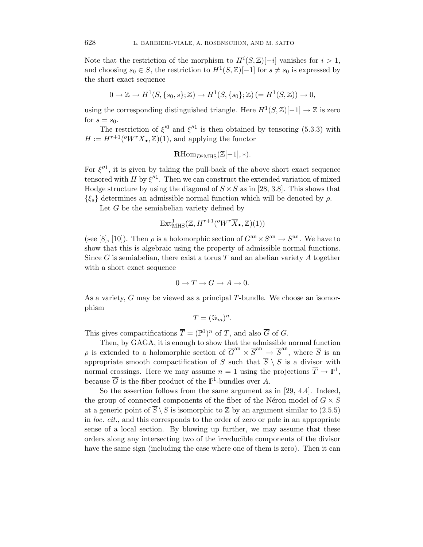Note that the restriction of the morphism to  $H^{i}(S,\mathbb{Z})[-i]$  vanishes for  $i > 1$ , and choosing  $s_0 \in S$ , the restriction to  $H^1(S, \mathbb{Z})[-1]$  for  $s \neq s_0$  is expressed by the short exact sequence

$$
0 \to \mathbb{Z} \to H^1(S, \{s_0, s\}; \mathbb{Z}) \to H^1(S, \{s_0\}; \mathbb{Z}) \left(=H^1(S, \mathbb{Z})\right) \to 0,
$$

using the corresponding distinguished triangle. Here  $H^1(S,\mathbb{Z})[-1] \to \mathbb{Z}$  is zero for  $s = s_0$ .

The restriction of  $\xi'^0$  and  $\xi''^1$  is then obtained by tensoring (5.3.3) with  $H := H^{r+1}({}^{\text{o}}W^r\overline{X}_{\bullet},\mathbb{Z})(1)$ , and applying the functor

$$
\mathbf{R}\mathrm{Hom}_{D^b\mathrm{MHS}}(\mathbb{Z}[-1],*).
$$

For  $\xi''^1$ , it is given by taking the pull-back of the above short exact sequence tensored with H by  $\xi''$ . Then we can construct the extended variation of mixed Hodge structure by using the diagonal of  $S \times S$  as in [28, 3.8]. This shows that  $\{\xi_s\}$  determines an admissible normal function which will be denoted by  $\rho$ .

Let G be the semiabelian variety defined by

$$
\mathrm{Ext}^1_{\mathrm{MHS}}(\mathbb{Z}, H^{r+1}({}^oW^r\overline{X}_{\bullet}, \mathbb{Z})(1))
$$

(see [8], [10]). Then  $\rho$  is a holomorphic section of  $G<sup>an</sup> \times S<sup>an</sup> \to S<sup>an</sup>$ . We have to show that this is algebraic using the property of admissible normal functions. Since G is semiabelian, there exist a torus  $T$  and an abelian variety  $A$  together with a short exact sequence

$$
0 \to T \to G \to A \to 0.
$$

As a variety, G may be viewed as a principal T-bundle. We choose an isomorphism

$$
T = (\mathbb{G}_m)^n.
$$

This gives compactifications  $\overline{T} = (\mathbb{P}^1)^n$  of T, and also  $\overline{G}$  of G.

Then, by GAGA, it is enough to show that the admissible normal function  $\rho$  is extended to a holomorphic section of  $\overline{G}^{\text{an}} \times \overline{S}^{\text{an}} \to \overline{S}^{\text{an}}$ , where  $\overline{S}$  is an appropriate smooth compactification of S such that  $\overline{S} \setminus S$  is a divisor with normal crossings. Here we may assume  $n = 1$  using the projections  $\overline{T} \to \mathbb{P}^1$ , because  $\overline{G}$  is the fiber product of the  $\mathbb{P}^1$ -bundles over A.

So the assertion follows from the same argument as in [29, 4.4]. Indeed, the group of connected components of the fiber of the Néron model of  $G \times S$ at a generic point of  $\overline{S} \setminus S$  is isomorphic to  $\mathbb{Z}$  by an argument similar to (2.5.5) in loc. cit., and this corresponds to the order of zero or pole in an appropriate sense of a local section. By blowing up further, we may assume that these orders along any intersecting two of the irreducible components of the divisor have the same sign (including the case where one of them is zero). Then it can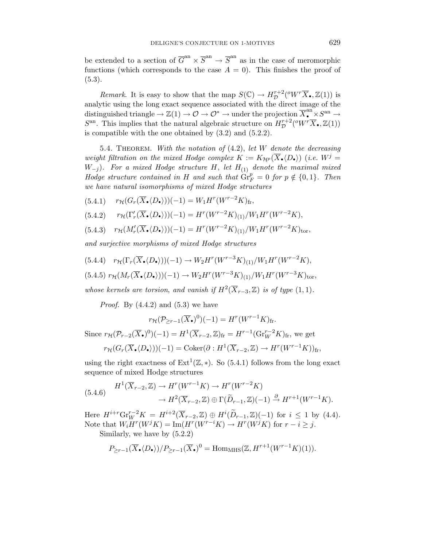be extended to a section of  $\overline{G}^{an} \times \overline{S}^{an} \to \overline{S}^{an}$  as in the case of meromorphic functions (which corresponds to the case  $A = 0$ ). This finishes the proof of  $(5.3).$ 

*Remark*. It is easy to show that the map  $S(\mathbb{C}) \to H_{\mathcal{D}}^{r+2}({}^oW^r\overline{X}_{\bullet}, \mathbb{Z}(1))$  is analytic using the long exact sequence associated with the direct image of the distinguished triangle  $\rightarrow \mathbb{Z}(1) \rightarrow \mathcal{O} \rightarrow \mathcal{O}^* \rightarrow \text{under the projection } \overline{X}_{\bullet}^{\text{an}} \times S^{\text{an}} \rightarrow$  $S<sup>an</sup>$ . This implies that the natural algebraic structure on  $H^{r+2}_D({}^oW^r\overline{X}_{\bullet},\mathbb{Z}(1))$ is compatible with the one obtained by (3.2) and (5.2.2).

5.4. THEOREM. With the notation of  $(4.2)$ , let W denote the decreasing weight filtration on the mixed Hodge complex  $K := K_{\mathcal{H}^p}(\overline{X}_\bullet \langle D_\bullet \rangle)$  (i.e.  $W^j =$  $W_{-j}$ ). For a mixed Hodge structure H, let  $H_{(1)}$  denote the maximal mixed Hodge structure contained in H and such that  $\overline{\mathrm{Gr}}_F^p = 0$  for  $p \notin \{0,1\}$ . Then we have natural isomorphisms of mixed Hodge structures

 $(5.4.1)$   $r_{\mathcal{H}}(G_r(\overline{X}_{\bullet} \langle D_{\bullet} \rangle))(-1) = W_1 H^r(W^{r-2}K)_{\text{fr}},$ 

$$
(5.4.2) \qquad r_{\mathcal{H}}(\Gamma'_r(\overline{X}_{\bullet}\langle D_{\bullet} \rangle))(-1) = H^r(W^{r-2}K)_{(1)}/W_1H^r(W^{r-2}K),
$$

 $(5.4.3)$   $r_{\mathcal{H}}(M'_r(\overline{X}_{\bullet}\langle D_{\bullet} \rangle))(-1) = H^r(W^{r-2}K)_{(1)}/W_1H^r(W^{r-2}K)_{\text{tor}},$ 

and surjective morphisms of mixed Hodge structures

(5.4.4)  $r_{\mathcal{H}}(\Gamma_r(\overline{X}_{\bullet} \langle D_{\bullet} \rangle))(-1) \to W_2 H^r(W^{r-3}K)_{(1)}/W_1 H^r(W^{r-2}K),$  $(5.4.5) \; r_{\mathcal{H}}(M_r(\overline{X}_\bullet \langle D_\bullet \rangle))(-1) \to W_2 H^r(W^{r-3}K)_{(1)}/W_1 H^r(W^{r-3}K)_{\text{tor}},$ 

whose kernels are torsion, and vanish if  $H^2(\overline{X}_{r-3},\mathbb{Z})$  is of type  $(1,1)$ .

*Proof.* By  $(4.4.2)$  and  $(5.3)$  we have

$$
r_{\mathcal{H}}(\mathcal{P}_{\geq r-1}(\overline{X}_{\bullet})^{0})(-1) = H^{r}(W^{r-1}K)_{\text{fr}}.
$$
  
Since  $r_{\mathcal{H}}(\mathcal{P}_{r-2}(\overline{X}_{\bullet})^{0})(-1) = H^{1}(\overline{X}_{r-2}, \mathbb{Z})_{\text{fr}} = H^{r-1}(\text{Gr}_{W}^{r-2}K)_{\text{fr}},$  we get  

$$
r_{\mathcal{H}}(G_{r}(\overline{X}_{\bullet}\langle D_{\bullet} \rangle))(-1) = \text{Coker}(\partial : H^{1}(\overline{X}_{r-2}, \mathbb{Z}) \to H^{r}(W^{r-1}K))_{\text{fr}},
$$

using the right exactness of  $Ext^1(\mathbb{Z}, *)$ . So (5.4.1) follows from the long exact sequence of mixed Hodge structures

$$
(5.4.6) \quad H^1(\overline{X}_{r-2}, \mathbb{Z}) \to H^r(W^{r-1}K) \to H^r(W^{r-2}K) \\
 \to H^2(\overline{X}_{r-2}, \mathbb{Z}) \oplus \Gamma(\widetilde{D}_{r-1}, \mathbb{Z})(-1) \xrightarrow{\partial} H^{r+1}(W^{r-1}K).
$$

Here  $H^{i+r} \text{Gr}_{W}^{r-2} K = H^{i+2}(\overline{X}_{r-2}, \mathbb{Z}) \oplus H^{i}(\widetilde{D}_{r-1}, \mathbb{Z})(-1)$  for  $i \leq 1$  by (4.4). Note that  $W_i H^r(W^j K) = \text{Im}(H^r(W^{r-i} K) \to H^r(W^j K)$  for  $r - i \geq j$ . Similarly, we have by (5.2.2)

$$
P_{\geq r-1}(\overline{X}_{\bullet}\langle D_{\bullet} \rangle)/P_{\geq r-1}(\overline{X}_{\bullet})^0 = \text{Hom}_{\text{MHS}}(\mathbb{Z}, H^{r+1}(W^{r-1}K)(1)).
$$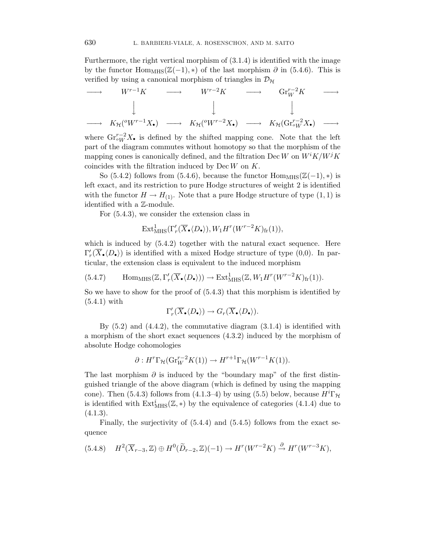Furthermore, the right vertical morphism of (3.1.4) is identified with the image by the functor Hom<sub>MHS</sub>( $\mathbb{Z}(-1)$ , \*) of the last morphism  $\partial$  in (5.4.6). This is verified by using a canonical morphism of triangles in  $\mathcal{D}_{\mathcal{H}}$ 

$$
\longrightarrow \qquad W^{r-1}K \qquad \longrightarrow \qquad W^{r-2}K \qquad \longrightarrow \qquad \mathrm{Gr}_{W}^{r-2}K \qquad \longrightarrow \qquad
$$

$$
\downarrow \qquad \qquad \downarrow \qquad \qquad \downarrow
$$

$$
\longrightarrow \qquad K_{\mathcal{H}}(^{o}W^{r-1}X_{\bullet}) \qquad \longrightarrow \qquad K_{\mathcal{H}}(^{o}W^{r-2}X_{\bullet}) \qquad \longrightarrow \qquad K_{\mathcal{H}}(\mathrm{Gr}_{oW}^{r-2}X_{\bullet}) \qquad \longrightarrow
$$

where  $\text{Gr}_{\text{ou}}^{r-2} X_{\bullet}$  is defined by the shifted mapping cone. Note that the left part of the diagram commutes without homotopy so that the morphism of the mapping cones is canonically defined, and the filtration Dec W on  $W^i K/W^j K$ coincides with the filtration induced by  $\text{Dec }W$  on  $K$ .

So (5.4.2) follows from (5.4.6), because the functor  $\text{Hom}_{\text{MHS}}(\mathbb{Z}(-1), *)$  is left exact, and its restriction to pure Hodge structures of weight 2 is identified with the functor  $H \to H_{(1)}$ . Note that a pure Hodge structure of type  $(1, 1)$  is identified with a Z-module.

For (5.4.3), we consider the extension class in

$$
\mathrm{Ext}^1_{\mathrm{MHS}}(\Gamma'_r(\overline{X}_{\bullet}\langle D_{\bullet} \rangle), W_1 H^r(W^{r-2}K)_{\mathrm{fr}}(1)),
$$

which is induced by  $(5.4.2)$  together with the natural exact sequence. Here  $\Gamma'_r(\overline{X}_\bullet \langle D_\bullet \rangle)$  is identified with a mixed Hodge structure of type (0,0). In particular, the extension class is equivalent to the induced morphism

$$
(5.4.7) \qquad \mathrm{Hom}_{\mathrm{MHS}}(\mathbb{Z},\Gamma'_r(\overline{X}_\bullet\langle D_\bullet \rangle)) \to \mathrm{Ext}^1_{\mathrm{MHS}}(\mathbb{Z},W_1H^r(W^{r-2}K)_{\mathrm{fr}}(1)).
$$

So we have to show for the proof of (5.4.3) that this morphism is identified by (5.4.1) with

$$
\Gamma'_r(\overline{X}_{\bullet}\langle D_{\bullet}\rangle) \to G_r(\overline{X}_{\bullet}\langle D_{\bullet}\rangle).
$$

By  $(5.2)$  and  $(4.4.2)$ , the commutative diagram  $(3.1.4)$  is identified with a morphism of the short exact sequences (4.3.2) induced by the morphism of absolute Hodge cohomologies

$$
\partial: H^r \Gamma_{\mathcal{H}}(\mathrm{Gr}_W^{r-2} K(1)) \to H^{r+1} \Gamma_{\mathcal{H}}(W^{r-1} K(1)).
$$

The last morphism  $\partial$  is induced by the "boundary map" of the first distinguished triangle of the above diagram (which is defined by using the mapping cone). Then (5.4.3) follows from (4.1.3–4) by using (5.5) below, because  $H^{i}\Gamma_{\mathcal{H}}$ is identified with  $\text{Ext}_{\text{MHS}}^{i}(\mathbb{Z},*)$  by the equivalence of categories (4.1.4) due to  $(4.1.3).$ 

Finally, the surjectivity of (5.4.4) and (5.4.5) follows from the exact sequence

$$
(5.4.8) \quad H^2(\overline{X}_{r-3}, \mathbb{Z}) \oplus H^0(\widetilde{D}_{r-2}, \mathbb{Z})(-1) \to H^r(W^{r-2}K) \xrightarrow{\partial} H^r(W^{r-3}K),
$$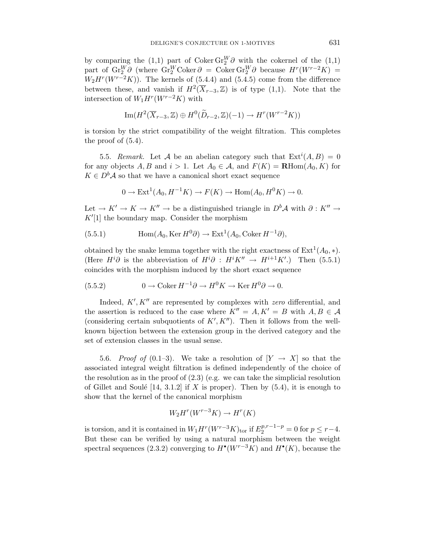by comparing the (1,1) part of Coker  $\text{Gr}_{2}^{W} \partial$  with the cokernel of the (1,1) part of  $\text{Gr}_{2}^{W} \partial$  (where  $\text{Gr}_{2}^{W} \text{Coker} \partial = \text{Coker } \text{Gr}_{2}^{W} \partial$  because  $H^{r}(W^{r-2}K) =$  $W_2H^r(W^{r-2}K)$ . The kernels of (5.4.4) and (5.4.5) come from the difference between these, and vanish if  $H^2(\overline{X}_{r-3},\mathbb{Z})$  is of type (1,1). Note that the intersection of  $W_1H^r(W^{r-2}K)$  with

$$
\operatorname{Im}(H^2(\overline{X}_{r-3},\mathbb{Z})\oplus H^0(\widetilde{D}_{r-2},\mathbb{Z})(-1)\to H^r(W^{r-2}K))
$$

is torsion by the strict compatibility of the weight filtration. This completes the proof of  $(5.4)$ .

5.5. Remark. Let A be an abelian category such that  $Ext^{i}(A, B) = 0$ for any objects A, B and  $i > 1$ . Let  $A_0 \in \mathcal{A}$ , and  $F(K) = \mathbf{R} \text{Hom}(A_0, K)$  for  $K \in D<sup>b</sup>A$  so that we have a canonical short exact sequence

$$
0 \to \text{Ext}^1(A_0, H^{-1}K) \to F(K) \to \text{Hom}(A_0, H^0K) \to 0.
$$

Let  $\to K' \to K \to K'' \to$  be a distinguished triangle in  $D^b\mathcal{A}$  with  $\partial: K'' \to$  $K'[1]$  the boundary map. Consider the morphism

(5.5.1) 
$$
\text{Hom}(A_0, \text{Ker } H^0 \partial) \to \text{Ext}^1(A_0, \text{Coker } H^{-1} \partial),
$$

obtained by the snake lemma together with the right exactness of  $Ext<sup>1</sup>(A<sub>0</sub>, *)$ . (Here  $H^i\partial$  is the abbreviation of  $H^i\partial$  :  $H^iK'' \rightarrow H^{i+1}K'$ .) Then (5.5.1) coincides with the morphism induced by the short exact sequence

(5.5.2) 
$$
0 \to \text{Coker } H^{-1} \partial \to H^0 K \to \text{Ker } H^0 \partial \to 0.
$$

Indeed,  $K', K''$  are represented by complexes with zero differential, and the assertion is reduced to the case where  $K'' = A, K' = B$  with  $A, B \in \mathcal{A}$ (considering certain subquotients of  $K', K''$ ). Then it follows from the wellknown bijection between the extension group in the derived category and the set of extension classes in the usual sense.

5.6. Proof of (0.1–3). We take a resolution of  $[Y \to X]$  so that the associated integral weight filtration is defined independently of the choice of the resolution as in the proof of  $(2.3)$  (e.g. we can take the simplicial resolution of Gillet and Soulé [14, 3.1.2] if X is proper). Then by  $(5.4)$ , it is enough to show that the kernel of the canonical morphism

$$
W_2H^r(W^{r-3}K) \to H^r(K)
$$

is torsion, and it is contained in  $W_1 H^r(W^{r-3}K)_{\text{tor}}$  if  $E_2^{p,r-1-p} = 0$  for  $p \le r-4$ . But these can be verified by using a natural morphism between the weight spectral sequences (2.3.2) converging to  $H^{\bullet}(W^{r-3}K)$  and  $H^{\bullet}(K)$ , because the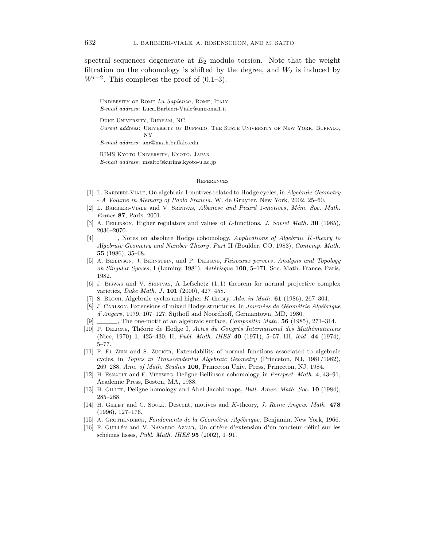spectral sequences degenerate at  $E_2$  modulo torsion. Note that the weight filtration on the cohomology is shifted by the degree, and  $W_2$  is induced by  $W^{r-2}$ . This completes the proof of  $(0.1-3)$ .

University of Rome *La Sapienza*, Rome, Italy E-mail address: Luca.Barbieri-Viale@uniroma1.it

Duke University, Durham, NC Curent address: University of Buffalo, The State University of New York, Buffalo, NY

E-mail address: axr@math.buffalo.edu

RIMS Kyoto University, Kyoto, Japan E-mail address: msaito@kurims.kyoto-u.ac.jp

#### **REFERENCES**

- [1] L. Barbieri-Viale, On algebraic 1-motives related to Hodge cycles, in *Algebraic Geometry* - *A Volume in Memory of Paolo Francia*, W. de Gruyter, New York, 2002, 25–60.
- [2] L. Barbieri-Viale and V. Srinivas, *Albanese and Picard* 1*-motives*, *Mem. Soc. Math.* ´ *France* **87**, Paris, 2001.
- [3] A. Beilinson, Higher regulators and values of L-functions, *J. Soviet Math*. **30** (1985), 2036–2070.
- [4] , Notes on absolute Hodge cohomology, *Applications of Algebraic* K*-theory to Algebraic Geometry and Number Theory*, *Part* II (Boulder, CO, 1983), *Contemp. Math*. **55** (1986), 35–68.
- [5] A. Beilinson, J. Bernstein, and P. Deligne, *Faisceaux pervers*, *Analysis and Topology on Singular Spaces*, I (Luminy, 1981), *Astérisque* **100**, 5–171, Soc. Math. France, Paris, 1982.
- $[6]$  J. Biswas and V. SRINIVAS, A Lefschetz  $(1,1)$  theorem for normal projective complex varieties, *Duke Math. J.* **101** (2000), 427-458.
- [7] S. Bloch, Algebraic cycles and higher K-theory, *Adv. in Math*. **61** (1986), 267–304.
- [8] J. Carlson, Extensions of mixed Hodge structures, in *Journées de Géométrie Algébrique d*'*Angers*, 1979, 107–127, Sijthoff and Noordhoff, Germantown, MD, 1980.
- [9] , The one-motif of an algebraic surface, *Compositio Math*. **56** (1985), 271–314.
- [10] P. DELIGNE, Théorie de Hodge I, *Actes du Congrès International des Mathématiciens* (Nice, 1970) **1**, 425–430; II, *Publ. Math. IHES* **40** (1971), 5–57; III, *ibid*. **44** (1974), 5–77.
- [11] F. El Zein and S. Zucker, Extendability of normal functions associated to algebraic cycles, in *Topics in Transcendental Algebraic Geometry* (Princeton, NJ, 1981/1982), 269–288, *Ann. of Math. Studies* **106**, Princeton Univ. Press, Princeton, NJ, 1984.
- [12] H. Esnault and E. Viehweg, Deligne-Beilinson cohomology, in *Perspect. Math*. **4**, 43–91, Academic Press, Boston, MA, 1988.
- [13] H. GILLET, Deligne homology and Abel-Jacobi maps, *Bull. Amer. Math. Soc.* **10** (1984), 285–288.
- [14] H. Gillet and C. Soule´, Descent, motives and K-theory, *J. Reine Angew. Math*. **478** (1996), 127–176.
- [15] A. GROTHENDIECK, *Fondements de la Géométrie Algébrique*, Benjamin, New York, 1966.
- [16] F. GUILLÉN and V. NAVARRO AZNAR, Un critère d'extension d'un foncteur défini sur les sch´emas lisses, *Publ. Math. IHES* **95** (2002), 1–91.